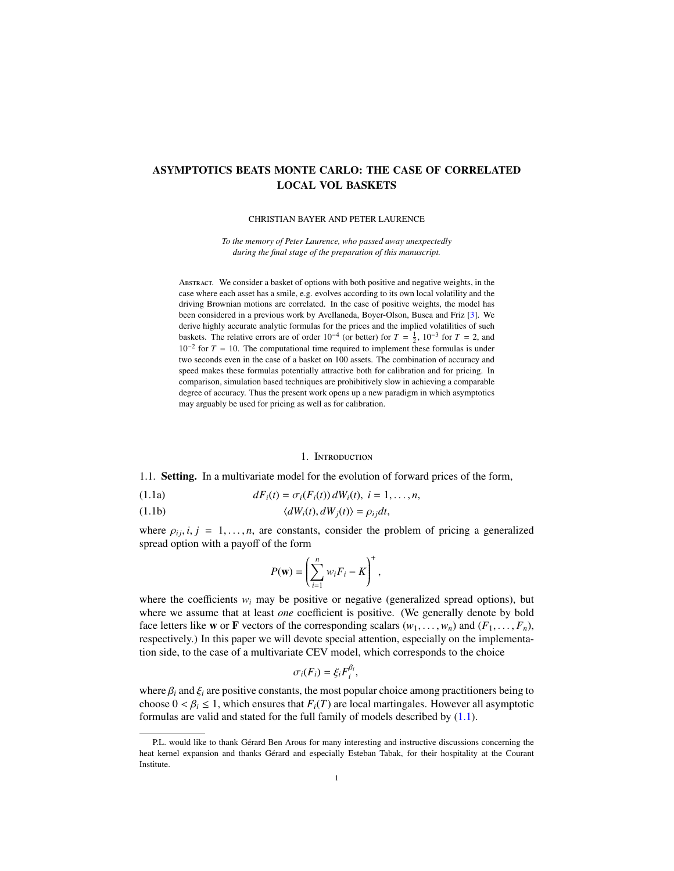# ASYMPTOTICS BEATS MONTE CARLO: THE CASE OF CORRELATED LOCAL VOL BASKETS

CHRISTIAN BAYER AND PETER LAURENCE

*To the memory of Peter Laurence, who passed away unexpectedly during the final stage of the preparation of this manuscript.*

Abstract. We consider a basket of options with both positive and negative weights, in the case where each asset has a smile, e.g. evolves according to its own local volatility and the driving Brownian motions are correlated. In the case of positive weights, the model has been considered in a previous work by Avellaneda, Boyer-Olson, Busca and Friz [\[3\]](#page-32-0). We derive highly accurate analytic formulas for the prices and the implied volatilities of such baskets. The relative errors are of order  $10^{-4}$  (or better) for  $T = \frac{1}{2}$ ,  $10^{-3}$  for  $T = 2$ , and  $10^{-2}$  for  $T = 10$ . The computational time required to implement these formulas is under two seconds even in the case of a basket on 100 assets. The combination of accuracy and speed makes these formulas potentially attractive both for calibration and for pricing. In comparison, simulation based techniques are prohibitively slow in achieving a comparable degree of accuracy. Thus the present work opens up a new paradigm in which asymptotics may arguably be used for pricing as well as for calibration.

### <span id="page-0-0"></span>1. Introduction

1.1. Setting. In a multivariate model for the evolution of forward prices of the form,

(1.1a) 
$$
dF_i(t) = \sigma_i(F_i(t)) dW_i(t), i = 1,...,n,
$$

(1.1b) 
$$
\langle dW_i(t), dW_j(t) \rangle = \rho_{ij} dt,
$$

where  $\rho_{ij}, i, j = 1, \ldots, n$ , are constants, consider the problem of pricing a generalized spread option with a payoff of the form

$$
P(\mathbf{w}) = \left(\sum_{i=1}^n w_i F_i - K\right)^+,
$$

where the coefficients  $w_i$  may be positive or negative (generalized spread options), but where we assume that at least *one* coefficient is positive. (We generally denote by bold face letters like **w** or **F** vectors of the corresponding scalars  $(w_1, \ldots, w_n)$  and  $(F_1, \ldots, F_n)$ , respectively.) In this paper we will devote special attention, especially on the implementation side, to the case of a multivariate CEV model, which corresponds to the choice

$$
\sigma_i(F_i)=\xi_iF_i^{\beta_i},
$$

where  $\beta_i$  and  $\xi_i$  are positive constants, the most popular choice among practitioners being to choose  $0 < \beta_i \leq 1$ , which ensures that  $F_i(T)$  are local martingales. However all asymptotic formulas are valid and stated for the full family of models described by [\(1.1\)](#page-0-0).

P.L. would like to thank Gérard Ben Arous for many interesting and instructive discussions concerning the heat kernel expansion and thanks Gérard and especially Esteban Tabak, for their hospitality at the Courant Institute.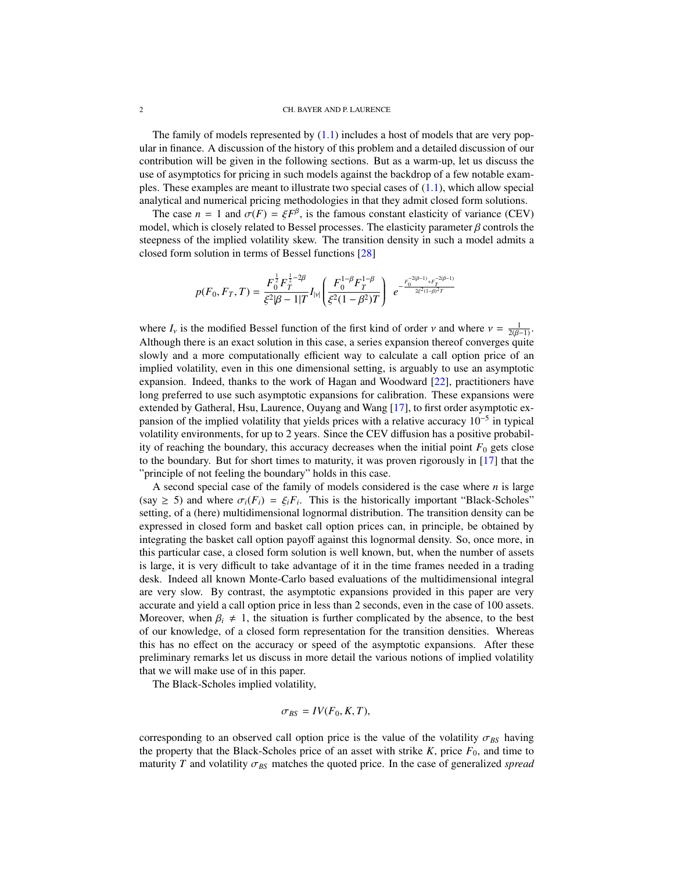The family of models represented by  $(1.1)$  includes a host of models that are very popular in finance. A discussion of the history of this problem and a detailed discussion of our contribution will be given in the following sections. But as a warm-up, let us discuss the use of asymptotics for pricing in such models against the backdrop of a few notable examples. These examples are meant to illustrate two special cases of  $(1.1)$ , which allow special analytical and numerical pricing methodologies in that they admit closed form solutions.

The case  $n = 1$  and  $\sigma(F) = \xi F^{\beta}$ , is the famous constant elasticity of variance (CEV) del which is closely related to Bessel processes. The elasticity parameter 8 controls the model, which is closely related to Bessel processes. The elasticity parameter  $\beta$  controls the steepness of the implied volatility skew. The transition density in such a model admits a closed form solution in terms of Bessel functions [\[28\]](#page-33-0)

$$
p(F_0, F_T, T) = \frac{F_0^{\frac{1}{2}} F_T^{\frac{1}{2} - 2\beta}}{\xi^2 |\beta - 1|T} I_{|y|} \left( \frac{F_0^{1-\beta} F_T^{1-\beta}}{\xi^2 (1-\beta^2)T} \right) e^{-\frac{F_0^{-2(\beta-1)} + F_T^{-2(\beta-1)}}{2\xi^2 (1-\beta)^2 T}}
$$

where  $I_v$  is the modified Bessel function of the first kind of order *v* and where  $v = \frac{1}{2(B-1)}$ .<br>Although there is an exact solution in this case, a series expansion thereof converges quite Although there is an exact solution in this case, a series expansion thereof converges quite slowly and a more computationally efficient way to calculate a call option price of an implied volatility, even in this one dimensional setting, is arguably to use an asymptotic expansion. Indeed, thanks to the work of Hagan and Woodward [\[22\]](#page-32-1), practitioners have long preferred to use such asymptotic expansions for calibration. These expansions were extended by Gatheral, Hsu, Laurence, Ouyang and Wang [\[17\]](#page-32-2), to first order asymptotic expansion of the implied volatility that yields prices with a relative accuracy 10<sup>-5</sup> in typical volatility environments, for up to 2 years. Since the CEV diffusion has a positive probability of reaching the boundary, this accuracy decreases when the initial point  $F_0$  gets close to the boundary. But for short times to maturity, it was proven rigorously in [\[17\]](#page-32-2) that the "principle of not feeling the boundary" holds in this case.

A second special case of the family of models considered is the case where *n* is large  $(\text{say } \geq 5)$  and where  $\sigma_i(F_i) = \xi_i F_i$ . This is the historically important "Black-Scholes"<br>setting of a (here) multidimensional lognormal distribution. The transition density can be setting, of a (here) multidimensional lognormal distribution. The transition density can be expressed in closed form and basket call option prices can, in principle, be obtained by integrating the basket call option payoff against this lognormal density. So, once more, in this particular case, a closed form solution is well known, but, when the number of assets is large, it is very difficult to take advantage of it in the time frames needed in a trading desk. Indeed all known Monte-Carlo based evaluations of the multidimensional integral are very slow. By contrast, the asymptotic expansions provided in this paper are very accurate and yield a call option price in less than 2 seconds, even in the case of 100 assets. Moreover, when  $\beta_i \neq 1$ , the situation is further complicated by the absence, to the best of our knowledge, of a closed form representation for the transition densities. Whereas this has no effect on the accuracy or speed of the asymptotic expansions. After these preliminary remarks let us discuss in more detail the various notions of implied volatility that we will make use of in this paper.

The Black-Scholes implied volatility,

$$
\sigma_{BS} = IV(F_0, K, T),
$$

corresponding to an observed call option price is the value of the volatility  $\sigma_{BS}$  having the property that the Black-Scholes price of an asset with strike  $K$ , price  $F_0$ , and time to maturity *T* and volatility  $\sigma_{BS}$  matches the quoted price. In the case of generalized *spread*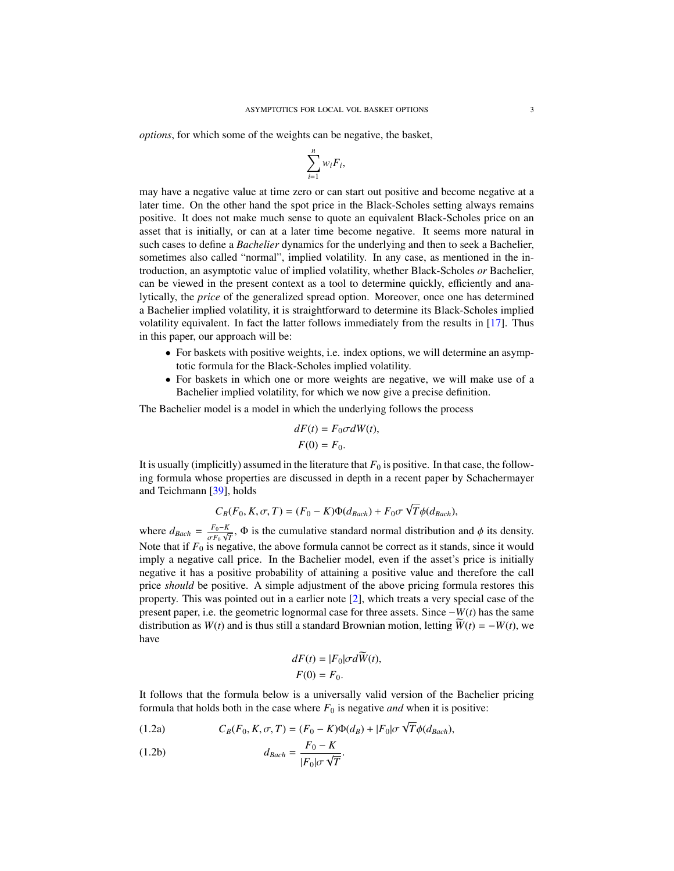*options*, for which some of the weights can be negative, the basket,

$$
\sum_{i=1}^n w_i F_i,
$$

may have a negative value at time zero or can start out positive and become negative at a later time. On the other hand the spot price in the Black-Scholes setting always remains positive. It does not make much sense to quote an equivalent Black-Scholes price on an asset that is initially, or can at a later time become negative. It seems more natural in such cases to define a *Bachelier* dynamics for the underlying and then to seek a Bachelier, sometimes also called "normal", implied volatility. In any case, as mentioned in the introduction, an asymptotic value of implied volatility, whether Black-Scholes *or* Bachelier, can be viewed in the present context as a tool to determine quickly, efficiently and analytically, the *price* of the generalized spread option. Moreover, once one has determined a Bachelier implied volatility, it is straightforward to determine its Black-Scholes implied volatility equivalent. In fact the latter follows immediately from the results in [\[17\]](#page-32-2). Thus in this paper, our approach will be:

- For baskets with positive weights, i.e. index options, we will determine an asymptotic formula for the Black-Scholes implied volatility.
- For baskets in which one or more weights are negative, we will make use of a Bachelier implied volatility, for which we now give a precise definition.

The Bachelier model is a model in which the underlying follows the process

$$
dF(t) = F_0 \sigma dW(t),
$$
  

$$
F(0) = F_0.
$$

It is usually (implicitly) assumed in the literature that  $F_0$  is positive. In that case, the following formula whose properties are discussed in depth in a recent paper by Schachermayer and Teichmann [\[39\]](#page-33-1), holds

$$
C_B(F_0, K, \sigma, T) = (F_0 - K)\Phi(d_{Bach}) + F_0 \sigma \sqrt{T} \phi(d_{Bach}),
$$

where  $d_{Bach} = \frac{F_0 - K}{\sigma F_0 \sqrt{2}}$  $\frac{F_0 - K}{\sigma F_0}$ ,  $\Phi$  is the cumulative standard normal distribution and  $\phi$  its density.<br>is negative the above formula cannot be correct as it stands, since it would Note that if  $F_0$  is negative, the above formula cannot be correct as it stands, since it would imply a negative call price. In the Bachelier model, even if the asset's price is initially negative it has a positive probability of attaining a positive value and therefore the call price *should* be positive. A simple adjustment of the above pricing formula restores this property. This was pointed out in a earlier note [\[2\]](#page-32-3), which treats a very special case of the present paper, i.e. the geometric lognormal case for three assets. Since −*W*(*t*) has the same distribution as *W*(*t*) and is thus still a standard Brownian motion, letting  $\widetilde{W}(t) = -W(t)$ , we have

<span id="page-2-0"></span>
$$
dF(t) = |F_0|\sigma d\widetilde{W}(t),
$$
  
 
$$
F(0) = F_0.
$$

It follows that the formula below is a universally valid version of the Bachelier pricing formula that holds both in the case where  $F_0$  is negative *and* when it is positive:

(1.2a) 
$$
C_B(F_0, K, \sigma, T) = (F_0 - K)\Phi(d_B) + |F_0|\sigma\sqrt{T}\phi(d_{Bach}),
$$

$$
d_{Bach} = \frac{F_0 - K}{|F_0|\sigma\sqrt{T}}.
$$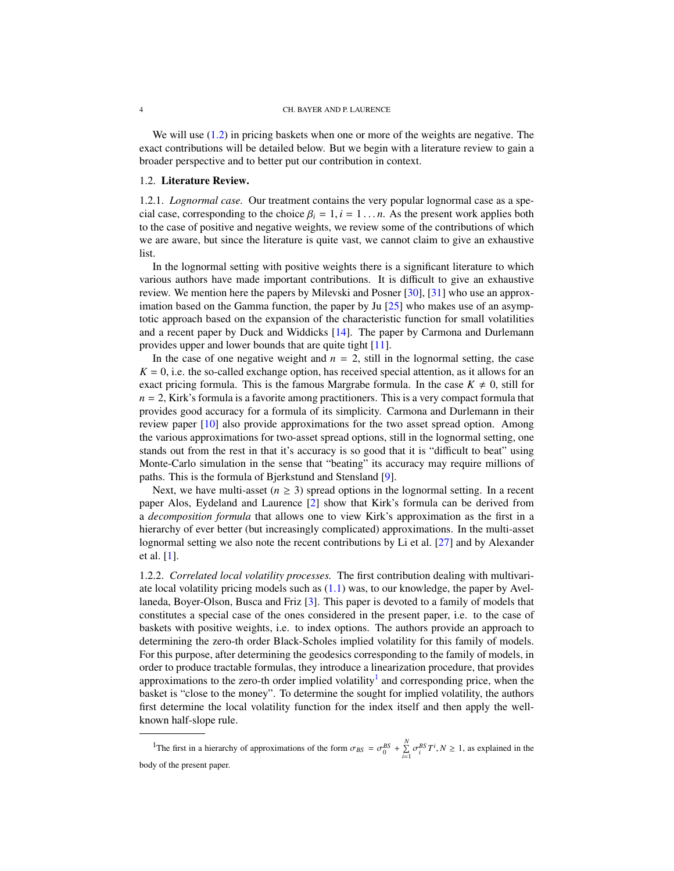We will use  $(1.2)$  in pricing baskets when one or more of the weights are negative. The exact contributions will be detailed below. But we begin with a literature review to gain a broader perspective and to better put our contribution in context.

## 1.2. Literature Review.

1.2.1. *Lognormal case.* Our treatment contains the very popular lognormal case as a special case, corresponding to the choice  $\beta_i = 1, i = 1, \ldots, n$ . As the present work applies both to the case of positive and negative weights, we review some of the contributions of which we are aware, but since the literature is quite vast, we cannot claim to give an exhaustive list.

In the lognormal setting with positive weights there is a significant literature to which various authors have made important contributions. It is difficult to give an exhaustive review. We mention here the papers by Milevski and Posner [\[30\]](#page-33-2), [\[31\]](#page-33-3) who use an approximation based on the Gamma function, the paper by Ju [\[25\]](#page-32-4) who makes use of an asymptotic approach based on the expansion of the characteristic function for small volatilities and a recent paper by Duck and Widdicks [\[14\]](#page-32-5). The paper by Carmona and Durlemann provides upper and lower bounds that are quite tight [\[11\]](#page-32-6).

In the case of one negative weight and  $n = 2$ , still in the lognormal setting, the case  $K = 0$ , i.e. the so-called exchange option, has received special attention, as it allows for an exact pricing formula. This is the famous Margrabe formula. In the case  $K \neq 0$ , still for *n* = 2, Kirk's formula is a favorite among practitioners. This is a very compact formula that provides good accuracy for a formula of its simplicity. Carmona and Durlemann in their review paper [\[10\]](#page-32-7) also provide approximations for the two asset spread option. Among the various approximations for two-asset spread options, still in the lognormal setting, one stands out from the rest in that it's accuracy is so good that it is "difficult to beat" using Monte-Carlo simulation in the sense that "beating" its accuracy may require millions of paths. This is the formula of Bjerkstund and Stensland [\[9\]](#page-32-8).

Next, we have multi-asset ( $n \geq 3$ ) spread options in the lognormal setting. In a recent paper Alos, Eydeland and Laurence [\[2\]](#page-32-3) show that Kirk's formula can be derived from a *decomposition formula* that allows one to view Kirk's approximation as the first in a hierarchy of ever better (but increasingly complicated) approximations. In the multi-asset lognormal setting we also note the recent contributions by Li et al. [\[27\]](#page-33-4) and by Alexander et al. [\[1\]](#page-32-9).

1.2.2. *Correlated local volatility processes.* The first contribution dealing with multivariate local volatility pricing models such as  $(1.1)$  was, to our knowledge, the paper by Avellaneda, Boyer-Olson, Busca and Friz [\[3\]](#page-32-0). This paper is devoted to a family of models that constitutes a special case of the ones considered in the present paper, i.e. to the case of baskets with positive weights, i.e. to index options. The authors provide an approach to determining the zero-th order Black-Scholes implied volatility for this family of models. For this purpose, after determining the geodesics corresponding to the family of models, in order to produce tractable formulas, they introduce a linearization procedure, that provides approximations to the zero-th order implied volatility<sup>[1](#page-3-0)</sup> and corresponding price, when the basket is "close to the money". To determine the sought for implied volatility, the authors first determine the local volatility function for the index itself and then apply the wellknown half-slope rule.

<span id="page-3-0"></span><sup>1</sup>The first in a hierarchy of approximations of the form  $\sigma_{BS} = \sigma_0^{BS} + \sum_{i=1}^N \sigma_i^{BS} T^i$ ,  $N \ge 1$ , as explained in the body of the present paper.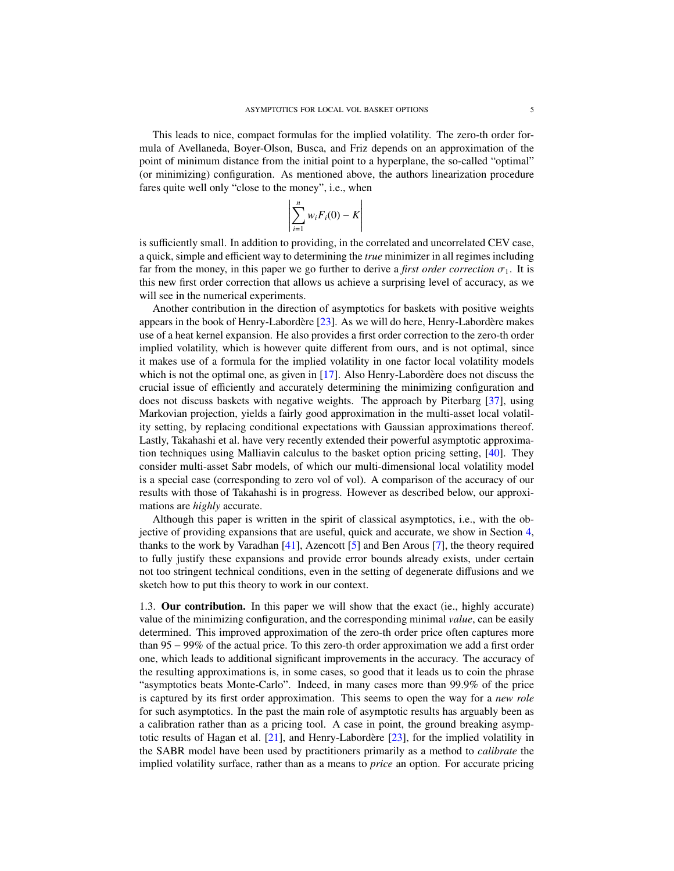This leads to nice, compact formulas for the implied volatility. The zero-th order formula of Avellaneda, Boyer-Olson, Busca, and Friz depends on an approximation of the point of minimum distance from the initial point to a hyperplane, the so-called "optimal" (or minimizing) configuration. As mentioned above, the authors linearization procedure fares quite well only "close to the money", i.e., when

$$
\left| \sum_{i=1}^n w_i F_i(0) - K \right|
$$

is sufficiently small. In addition to providing, in the correlated and uncorrelated CEV case, a quick, simple and efficient way to determining the *true* minimizer in all regimes including far from the money, in this paper we go further to derive a *first order correction*  $\sigma_1$ . It is this new first order correction that allows us achieve a surprising level of accuracy, as we will see in the numerical experiments.

Another contribution in the direction of asymptotics for baskets with positive weights appears in the book of Henry-Labordère  $[23]$  $[23]$ . As we will do here, Henry-Labordère makes use of a heat kernel expansion. He also provides a first order correction to the zero-th order implied volatility, which is however quite different from ours, and is not optimal, since it makes use of a formula for the implied volatility in one factor local volatility models which is not the optimal one, as given in  $[17]$ . Also Henry-Labordere does not discuss the crucial issue of efficiently and accurately determining the minimizing configuration and does not discuss baskets with negative weights. The approach by Piterbarg [\[37\]](#page-33-5), using Markovian projection, yields a fairly good approximation in the multi-asset local volatility setting, by replacing conditional expectations with Gaussian approximations thereof. Lastly, Takahashi et al. have very recently extended their powerful asymptotic approximation techniques using Malliavin calculus to the basket option pricing setting, [\[40\]](#page-33-6). They consider multi-asset Sabr models, of which our multi-dimensional local volatility model is a special case (corresponding to zero vol of vol). A comparison of the accuracy of our results with those of Takahashi is in progress. However as described below, our approximations are *highly* accurate.

Although this paper is written in the spirit of classical asymptotics, i.e., with the objective of providing expansions that are useful, quick and accurate, we show in Section [4,](#page-15-0) thanks to the work by Varadhan  $[41]$ , Azencott  $[5]$  and Ben Arous  $[7]$ , the theory required to fully justify these expansions and provide error bounds already exists, under certain not too stringent technical conditions, even in the setting of degenerate diffusions and we sketch how to put this theory to work in our context.

1.3. Our contribution. In this paper we will show that the exact (ie., highly accurate) value of the minimizing configuration, and the corresponding minimal *value*, can be easily determined. This improved approximation of the zero-th order price often captures more than 95 − 99% of the actual price. To this zero-th order approximation we add a first order one, which leads to additional significant improvements in the accuracy. The accuracy of the resulting approximations is, in some cases, so good that it leads us to coin the phrase "asymptotics beats Monte-Carlo". Indeed, in many cases more than 99.9% of the price is captured by its first order approximation. This seems to open the way for a *new role* for such asymptotics. In the past the main role of asymptotic results has arguably been as a calibration rather than as a pricing tool. A case in point, the ground breaking asymptotic results of Hagan et al.  $[21]$ , and Henry-Labordère  $[23]$  $[23]$ , for the implied volatility in the SABR model have been used by practitioners primarily as a method to *calibrate* the implied volatility surface, rather than as a means to *price* an option. For accurate pricing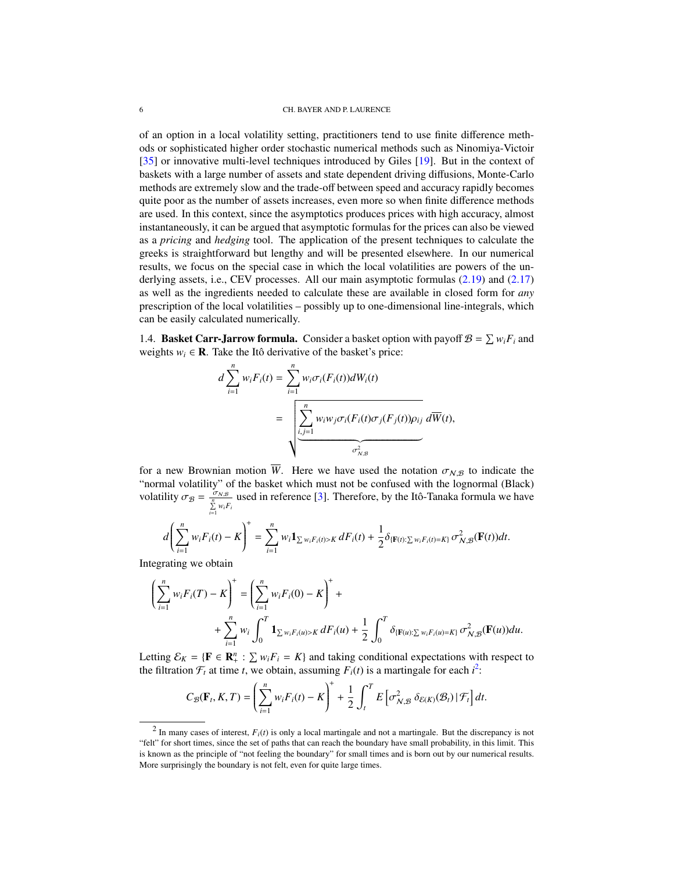of an option in a local volatility setting, practitioners tend to use finite difference methods or sophisticated higher order stochastic numerical methods such as Ninomiya-Victoir [\[35\]](#page-33-8) or innovative multi-level techniques introduced by Giles [\[19\]](#page-32-14). But in the context of baskets with a large number of assets and state dependent driving diffusions, Monte-Carlo methods are extremely slow and the trade-off between speed and accuracy rapidly becomes quite poor as the number of assets increases, even more so when finite difference methods are used. In this context, since the asymptotics produces prices with high accuracy, almost instantaneously, it can be argued that asymptotic formulas for the prices can also be viewed as a *pricing* and *hedging* tool. The application of the present techniques to calculate the greeks is straightforward but lengthy and will be presented elsewhere. In our numerical results, we focus on the special case in which the local volatilities are powers of the un-derlying assets, i.e., CEV processes. All our main asymptotic formulas [\(2.19\)](#page-11-0) and [\(2.17\)](#page-10-0) as well as the ingredients needed to calculate these are available in closed form for *any* prescription of the local volatilities – possibly up to one-dimensional line-integrals, which can be easily calculated numerically.

1.4. **Basket Carr-Jarrow formula.** Consider a basket option with payoff  $\mathcal{B} = \sum w_i F_i$  and weights  $w_i \in \mathbf{R}$ . Take the Itô derivative of the basket's price:

$$
d\sum_{i=1}^{n} w_i F_i(t) = \sum_{i=1}^{n} w_i \sigma_i(F_i(t)) dW_i(t)
$$
  
= 
$$
\sqrt{\sum_{i,j=1}^{n} w_i w_j \sigma_i(F_i(t) \sigma_j(F_j(t)) \rho_{ij} d\overline{W}(t)},
$$

for a new Brownian motion *W*. Here we have used the notation  $\sigma_{N,B}$  to indicate the "normal volatility" of the basket which must not be confused with the lognormal (Black) volatility  $\sigma_B = \frac{\sigma_{N,B}}{\sum\limits_{i=1}^n w_i F_i}$  used in reference [\[3\]](#page-32-0). Therefore, by the Itô-Tanaka formula we have

$$
d\left(\sum_{i=1}^n w_i F_i(t) - K\right)^+ = \sum_{i=1}^n w_i \mathbf{1}_{\sum w_i F_i(t) > K} dF_i(t) + \frac{1}{2} \delta_{\{\mathbf{F}(t): \sum w_i F_i(t) = K\}} \sigma_{\mathcal{N}, \mathcal{B}}^2(\mathbf{F}(t)) dt.
$$

Integrating we obtain

$$
\left(\sum_{i=1}^{n} w_{i} F_{i}(T) - K\right)^{+} = \left(\sum_{i=1}^{n} w_{i} F_{i}(0) - K\right)^{+} + \\ + \sum_{i=1}^{n} w_{i} \int_{0}^{T} \mathbf{1}_{\sum w_{i} F_{i}(u) > K} dF_{i}(u) + \frac{1}{2} \int_{0}^{T} \delta_{\{\mathbf{F}(u): \sum w_{i} F_{i}(u) = K\}} \sigma_{\mathcal{N}, \mathcal{B}}^{2}(\mathbf{F}(u)) du.
$$

Letting  $\mathcal{E}_K = \{ \mathbf{F} \in \mathbf{R}_+^n : \sum w_i F_i = K \}$  and taking conditional expectations with respect to the filtration  $\mathcal{F}_t$  at time *t*, we obtain, assuming  $F_i(t)$  is a martingale for each  $i^2$  $i^2$ :

$$
C_{\mathcal{B}}(\mathbf{F}_t,K,T)=\left(\sum_{i=1}^n w_i F_i(t)-K\right)^++\frac{1}{2}\int_t^T E\left[\sigma_{\mathcal{N},\mathcal{B}}^2\,\delta_{\mathcal{E}(K)}(\mathcal{B}_t)\,|\,\mathcal{F}_t\right]dt.
$$

<span id="page-5-0"></span> $2 \text{ In many cases of interest, } F_i(t)$  is only a local martingale and not a martingale. But the discrepancy is not "felt" for short times, since the set of paths that can reach the boundary have small probability, in this limit. This is known as the principle of "not feeling the boundary" for small times and is born out by our numerical results. More surprisingly the boundary is not felt, even for quite large times.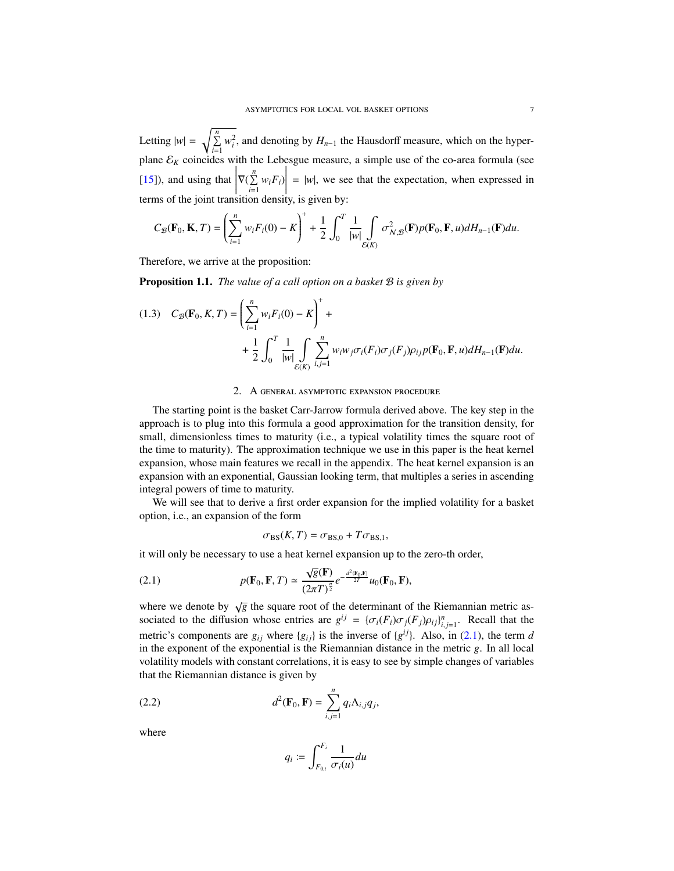Letting  $|w| = \sqrt{\sum_{i=1}^{n} w_i^2}$ , and denoting by  $H_{n-1}$  the Hausdorff measure, which on the hyperplane  $\mathcal{E}_K$  coincides with the Lebesgue measure, a simple use of the co-area formula (see  $[15]$ ), and using that  $\begin{array}{c} \n\hline\n\end{array}$  $\nabla(\sum_{i=1}^n w_i F_i)$  $\begin{array}{c} \n\downarrow \\ \n\downarrow \\ \n\downarrow \n\end{array}$  $= |w|$ , we see that the expectation, when expressed in terms of the joint transition density, is given by:

$$
C_{\mathcal{B}}(\mathbf{F}_0,\mathbf{K},T)=\left(\sum_{i=1}^n w_i F_i(0)-K\right)^++\frac{1}{2}\int_0^T\frac{1}{|w|}\int\limits_{\mathcal{E}(K)}\sigma_{\mathcal{N},\mathcal{B}}^2(\mathbf{F})p(\mathbf{F}_0,\mathbf{F},u)dH_{n-1}(\mathbf{F})du.
$$

Therefore, we arrive at the proposition:

**Proposition 1.1.** *The value of a call option on a basket*  $\mathcal{B}$  *is given by* 

<span id="page-6-1"></span>(1.3) 
$$
C_{\mathcal{B}}(\mathbf{F}_0, K, T) = \left(\sum_{i=1}^n w_i F_i(0) - K\right)^+ + \frac{1}{2} \int_0^T \frac{1}{|w|} \int_{\mathcal{E}(K)} \sum_{i,j=1}^n w_i w_j \sigma_i(F_i) \sigma_j(F_j) \rho_{ij} p(\mathbf{F}_0, \mathbf{F}, u) dH_{n-1}(\mathbf{F}) du.
$$

### 2. A general asymptotic expansion procedure

The starting point is the basket Carr-Jarrow formula derived above. The key step in the approach is to plug into this formula a good approximation for the transition density, for small, dimensionless times to maturity (i.e., a typical volatility times the square root of the time to maturity). The approximation technique we use in this paper is the heat kernel expansion, whose main features we recall in the appendix. The heat kernel expansion is an expansion with an exponential, Gaussian looking term, that multiples a series in ascending integral powers of time to maturity.

We will see that to derive a first order expansion for the implied volatility for a basket option, i.e., an expansion of the form

<span id="page-6-0"></span>
$$
\sigma_{BS}(K,T) = \sigma_{BS,0} + T\sigma_{BS,1},
$$

it will only be necessary to use a heat kernel expansion up to the zero-th order,

(2.1) 
$$
p(\mathbf{F}_0, \mathbf{F}, T) \simeq \frac{\sqrt{g}(\mathbf{F})}{(2\pi T)^{\frac{n}{2}}} e^{-\frac{d^2(\mathbf{F}_0, \mathbf{F})}{2T}} u_0(\mathbf{F}_0, \mathbf{F}),
$$

where we denote by  $\sqrt{g}$  the square root of the determinant of the Riemannian metric associated to the diffusion whose entries are  $g^{ij} = {\sigma_i(F_i)\sigma_j(F_j)\rho_{ij}}_{i,j=1}^n$ . Recall that the matricial components are a unker lead in the inverse of  $\{\alpha_i\}$ , Also, in (2.1), the term of metric's components are  $g_{ij}$  where  $\{g_{ij}\}\$ is the inverse of  $\{g^{ij}\}\$ . Also, in [\(2.1\)](#page-6-0), the term *d* in the exponent of the exponential is the Riemannian distance in the metric *g*. In all local volatility models with constant correlations, it is easy to see by simple changes of variables that the Riemannian distance is given by

(2.2) 
$$
d^2(\mathbf{F}_0, \mathbf{F}) = \sum_{i,j=1}^n q_i \Lambda_{i,j} q_j,
$$

where

<span id="page-6-2"></span>
$$
q_i \coloneqq \int_{F_{0,i}}^{F_i} \frac{1}{\sigma_i(u)} du
$$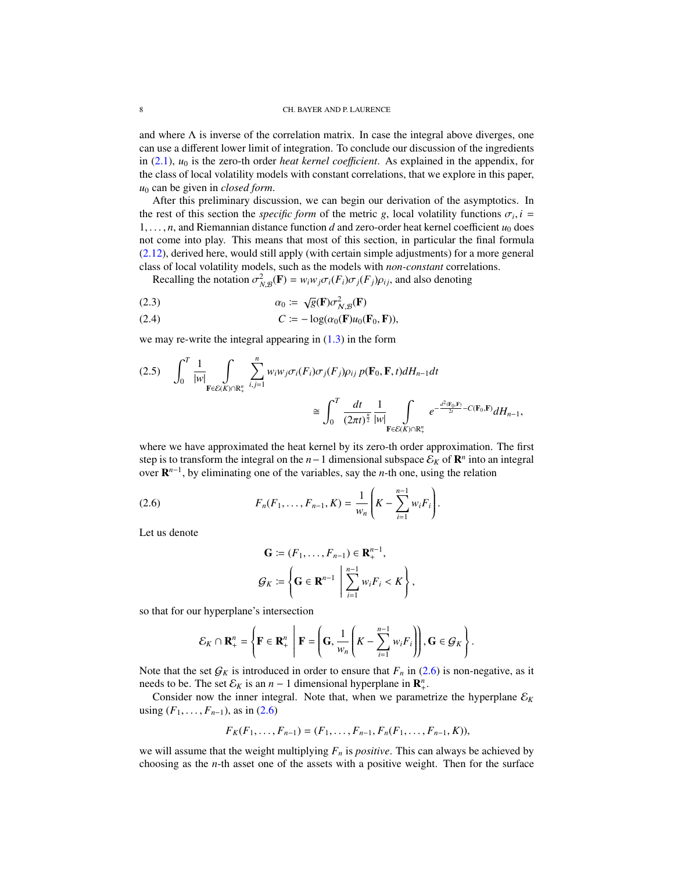and where  $\Lambda$  is inverse of the correlation matrix. In case the integral above diverges, one can use a different lower limit of integration. To conclude our discussion of the ingredients in  $(2.1)$ ,  $u_0$  is the zero-th order *heat kernel coefficient*. As explained in the appendix, for the class of local volatility models with constant correlations, that we explore in this paper, *u*<sup>0</sup> can be given in *closed form*.

After this preliminary discussion, we can begin our derivation of the asymptotics. In the rest of this section the *specific form* of the metric *g*, local volatility functions  $\sigma_i$ ,  $i =$ <br> *i* and Riemannian distance function *d* and zero-order heat kernel coefficient *u<sub>s</sub>* does  $1, \ldots, n$ , and Riemannian distance function *d* and zero-order heat kernel coefficient  $u_0$  does not come into play. This means that most of this section, in particular the final formula [\(2.12\)](#page-8-0), derived here, would still apply (with certain simple adjustments) for a more general class of local volatility models, such as the models with *non-constant* correlations.

Recalling the notation  $\sigma_{N,B}^2(\mathbf{F}) = w_i w_j \sigma_i(F_i) \sigma_j(F_j) \rho_{ij}$ , and also denoting

(2.3) 
$$
\alpha_0 := \sqrt{g}(\mathbf{F}) \sigma_{N, \mathcal{B}}^2(\mathbf{F})
$$

(2.4) 
$$
C := -\log(\alpha_0(\mathbf{F})u_0(\mathbf{F}_0, \mathbf{F})),
$$

we may re-write the integral appearing in  $(1.3)$  in the form

<span id="page-7-1"></span>
$$
(2.5) \quad \int_0^T \frac{1}{|w|} \int_{\mathbf{F} \in \mathcal{E}(K) \cap \mathbf{R}_+^n} \sum_{i,j=1}^n w_i w_j \sigma_i(F_i) \sigma_j(F_j) \rho_{ij} \, p(\mathbf{F}_0, \mathbf{F}, t) dH_{n-1} dt
$$
\n
$$
\cong \int_0^T \frac{dt}{(2\pi t)^{\frac{n}{2}}} \frac{1}{|w|} \int_{\mathbf{F} \in \mathcal{E}(K) \cap \mathbf{R}_+^n} e^{-\frac{d^2(\mathbf{F}_0, \mathbf{F})}{2t} - C(\mathbf{F}_0, \mathbf{F})} dH_{n-1},
$$

where we have approximated the heat kernel by its zero-th order approximation. The first step is to transform the integral on the  $n-1$  dimensional subspace  $\mathcal{E}_K$  of  $\mathbb{R}^n$  into an integral over R *n*−1 , by eliminating one of the variables, say the *n*-th one, using the relation

(2.6) 
$$
F_n(F_1,\ldots,F_{n-1},K)=\frac{1}{w_n}\left(K-\sum_{i=1}^{n-1}w_iF_i\right).
$$

Let us denote

<span id="page-7-0"></span>
$$
\mathbf{G} := (F_1, \dots, F_{n-1}) \in \mathbf{R}^{n-1}_+,
$$
  

$$
\mathcal{G}_K := \left\{ \mathbf{G} \in \mathbf{R}^{n-1} \mid \sum_{i=1}^{n-1} w_i F_i < K \right\},
$$

so that for our hyperplane's intersection

$$
\mathcal{E}_K \cap \mathbf{R}_+^n = \left\{ \mathbf{F} \in \mathbf{R}_+^n \ \middle| \ \mathbf{F} = \left( \mathbf{G}, \frac{1}{w_n} \left( K - \sum_{i=1}^{n-1} w_i F_i \right) \right), \mathbf{G} \in \mathcal{G}_K \right\}.
$$

Note that the set  $G_K$  is introduced in order to ensure that  $F_n$  in [\(2.6\)](#page-7-0) is non-negative, as it needs to be. The set  $\mathcal{E}_K$  is an *n* − 1 dimensional hyperplane in  $\mathbb{R}^n_+$ .

Consider now the inner integral. Note that, when we parametrize the hyperplane  $\mathcal{E}_K$ using  $(F_1, \ldots, F_{n-1})$ , as in [\(2.6\)](#page-7-0)

$$
F_K(F_1,\ldots,F_{n-1})=(F_1,\ldots,F_{n-1},F_n(F_1,\ldots,F_{n-1},K)),
$$

we will assume that the weight multiplying  $F<sub>n</sub>$  is *positive*. This can always be achieved by choosing as the *n*-th asset one of the assets with a positive weight. Then for the surface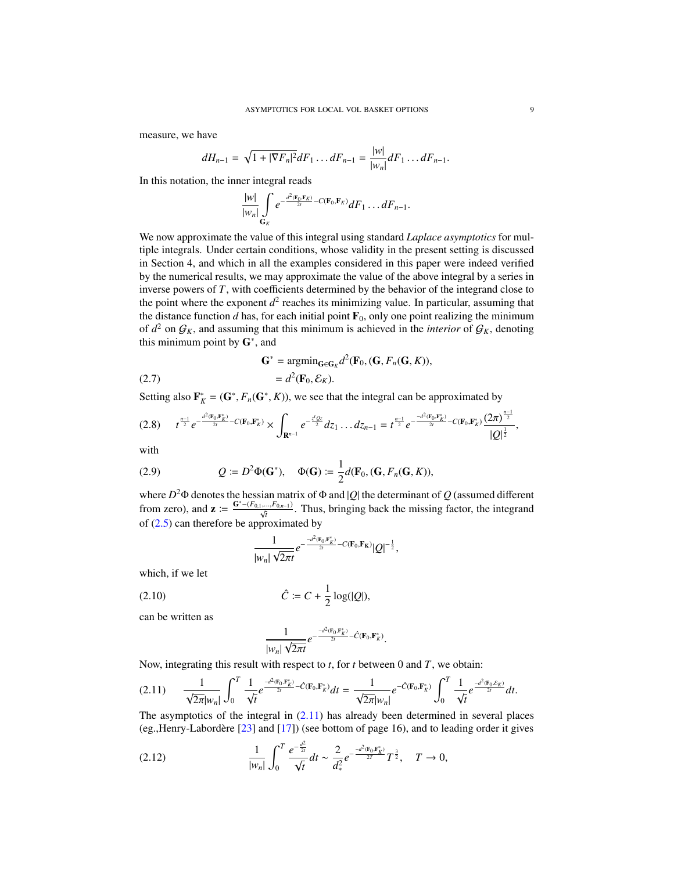measure, we have

$$
dH_{n-1} = \sqrt{1+|\nabla F_n|^2}dF_1 \dots dF_{n-1} = \frac{|w|}{|w_n|}dF_1 \dots dF_{n-1}.
$$

In this notation, the inner integral reads

$$
\frac{|w|}{|w_n|}\int\limits_{\mathbf{G}_K}e^{-\frac{d^2(\mathbf{F}_0,\mathbf{F}_K)}{2t}-C(\mathbf{F}_0,\mathbf{F}_K)}dF_1\ldots dF_{n-1}.
$$

We now approximate the value of this integral using standard *Laplace asymptotics* for multiple integrals. Under certain conditions, whose validity in the present setting is discussed in Section 4, and which in all the examples considered in this paper were indeed verified by the numerical results, we may approximate the value of the above integral by a series in inverse powers of *T*, with coefficients determined by the behavior of the integrand close to the point where the exponent  $d^2$  reaches its minimizing value. In particular, assuming that the distance function *d* has, for each initial point  $\mathbf{F}_0$ , only one point realizing the minimum of  $d^2$  on  $\mathcal{G}_K$ , and assuming that this minimum is achieved in the *interior* of  $\mathcal{G}_K$ , denoting this minimum point by  $G^*$ , and

<span id="page-8-4"></span>(2.7) 
$$
\mathbf{G}^* = \operatorname{argmin}_{\mathbf{G} \in \mathbf{G}_K} d^2(\mathbf{F}_0, (\mathbf{G}, F_n(\mathbf{G}, K)),
$$

$$
= d^2(\mathbf{F}_0, \mathcal{E}_K).
$$

Setting also  $\mathbf{F}_K^* = (\mathbf{G}^*, F_n(\mathbf{G}^*, K))$ , we see that the integral can be approximated by

<span id="page-8-3"></span>
$$
(2.8) \t t^{\frac{n-1}{2}}e^{-\frac{d^2(\mathbf{F}_0,\mathbf{F}_K^*)}{2t}-C(\mathbf{F}_0,\mathbf{F}_K^*)}\times\int_{\mathbf{R}^{n-1}}e^{-\frac{z^tQz}{2}}dz_1\ldots dz_{n-1}=t^{\frac{n-1}{2}}e^{-\frac{-d^2(\mathbf{F}_0,\mathbf{F}_K^*)}{2t}-C(\mathbf{F}_0,\mathbf{F}_K^*)}\frac{(2\pi)^{\frac{n-1}{2}}}{|Q|^{\frac{1}{2}}},
$$

with

(2.9) 
$$
Q \coloneqq D^2 \Phi(\mathbf{G}^*), \quad \Phi(\mathbf{G}) \coloneqq \frac{1}{2} d(\mathbf{F}_0, (\mathbf{G}, F_n(\mathbf{G}, K)),
$$

where  $D^2\Phi$  denotes the hessian matrix of  $\Phi$  and |Q| the determinant of Q (assumed different from zero), and  $\mathbf{z} := \frac{G^* - (F_{0,1},...,F_{0,n-1})}{\sqrt{t}}$ . Thus, bringing back the missing factor, the integrand of  $(2.5)$  can therefore be approximated by

$$
\frac{1}{|w_n|\sqrt{2\pi t}}e^{-\frac{-d^2(\mathbf{F}_0,\mathbf{F}_\mathbf{K}^*)}{2t}-C(\mathbf{F}_0,\mathbf{F}_\mathbf{K})}|Q|^{-\frac{1}{2}},
$$

which, if we let

(2.10) 
$$
\hat{C} := C + \frac{1}{2} \log(|Q|),
$$

can be written as

<span id="page-8-2"></span>
$$
\frac{1}{|w_n| \sqrt{2\pi t}} e^{-\frac{-d^2(\mathbf{F}_0, \mathbf{F}_K^*)}{2t}} - \hat{C}(\mathbf{F}_0, \mathbf{F}_K^*)}.
$$

 $|w_n|$   $\sqrt{2\pi t}$ <br>Now, integrating this result with respect to *t*, for *t* between 0 and *T*, we obtain:

<span id="page-8-1"></span>(2.11) 
$$
\frac{1}{\sqrt{2\pi}|w_n|} \int_0^T \frac{1}{\sqrt{t}} e^{\frac{-d^2(\mathbf{F}_0, \mathbf{F}_K^*)}{2t}} \hat{C}(\mathbf{F}_0, \mathbf{F}_K^*) dt = \frac{1}{\sqrt{2\pi}|w_n|} e^{-\hat{C}(\mathbf{F}_0, \mathbf{F}_K^*)} \int_0^T \frac{1}{\sqrt{t}} e^{\frac{-d^2(\mathbf{F}_0, \mathbf{F}_K)}{2t}} dt.
$$
  
The asymptotics of the integral in (2.11) has already been determined in several places

(eg., Henry-Labordère  $[23]$  $[23]$  and  $[17]$ ) (see bottom of page 16), and to leading order it gives

<span id="page-8-0"></span>
$$
(2.12) \qquad \qquad \frac{1}{|w_n|} \int_0^T \frac{e^{-\frac{d^2}{2t}}}{\sqrt{t}} dt \sim \frac{2}{d_*^2} e^{-\frac{-d^2(\mathbf{F}_0, \mathbf{F}_K^*)}{2T}} T^{\frac{3}{2}}, \quad T \to 0,
$$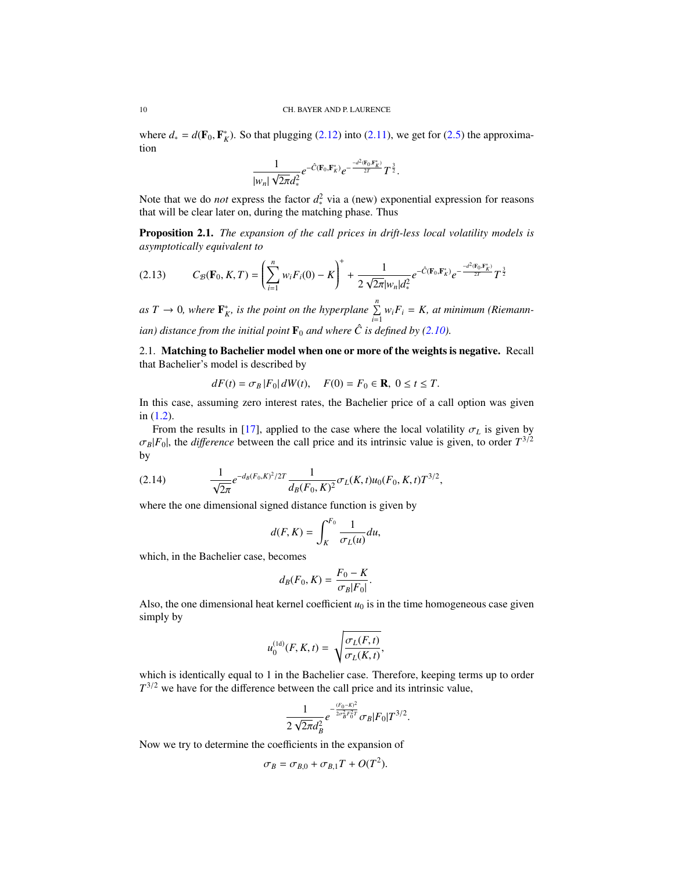where  $d_* = d(\mathbf{F}_0, \mathbf{F}_K^*)$ . So that plugging [\(2.12\)](#page-8-0) into [\(2.11\)](#page-8-1), we get for [\(2.5\)](#page-7-1) the approximation tion

$$
\frac{1}{|w_n|\sqrt{2\pi}d_*^2}e^{-\hat{C}(\mathbf{F}_0,\mathbf{F}_K^*)}e^{-\frac{-d^2(\mathbf{F}_0,\mathbf{F}_K^*)}{2T}}T^{\frac{3}{2}}.
$$

Note that we do *not* express the factor  $d_*^2$  via a (new) exponential expression for reasons that will be clear later on, during the matching phase. Thus

Proposition 2.1. *The expansion of the call prices in drift-less local volatility models is asymptotically equivalent to*

$$
(2.13) \qquad C_{\mathcal{B}}(\mathbf{F}_0, K, T) = \left(\sum_{i=1}^n w_i F_i(0) - K\right)^+ + \frac{1}{2\sqrt{2\pi}|w_n|d_*^2} e^{-\hat{C}(\mathbf{F}_0, \mathbf{F}_K^*)} e^{-\frac{-d^2(\mathbf{F}_0, \mathbf{F}_K^*)}{2T}} T^{\frac{3}{2}}
$$

as  $T \to 0$ , where  $\mathbf{F}_K^*$ , is the point on the hyperplane  $\sum_{i=1}^n w_i F_i = K$ , at minimum (Riemann*ian)* distance from the initial point  $\mathbf{F}_0$  *and where*  $\hat{C}$  *is defined by ([2.10\)](#page-8-2).* 

2.1. Matching to Bachelier model when one or more of the weights is negative. Recall that Bachelier's model is described by

$$
dF(t) = \sigma_B |F_0| dW(t), \quad F(0) = F_0 \in \mathbf{R}, \ 0 \le t \le T.
$$

In this case, assuming zero interest rates, the Bachelier price of a call option was given in [\(1.2\)](#page-2-0).

From the results in [\[17\]](#page-32-2), applied to the case where the local volatility  $\sigma_L$  is given by  $\sigma_B$ |*F*<sub>0</sub>|, the *difference* between the call price and its intrinsic value is given, to order  $T^{3/2}$ by

(2.14) 
$$
\frac{1}{\sqrt{2\pi}}e^{-d_B(F_0,K)^2/2T}\frac{1}{d_B(F_0,K)^2}\sigma_L(K,t)u_0(F_0,K,t)T^{3/2},
$$

where the one dimensional signed distance function is given by

$$
d(F, K) = \int_{K}^{F_0} \frac{1}{\sigma_L(u)} du,
$$

which, in the Bachelier case, becomes

$$
d_B(F_0, K) = \frac{F_0 - K}{\sigma_B |F_0|}.
$$

Also, the one dimensional heat kernel coefficient  $u_0$  is in the time homogeneous case given simply by

$$
u_0^{(\text{1d})}(F, K, t) = \sqrt{\frac{\sigma_L(F, t)}{\sigma_L(K, t)}},
$$

which is identically equal to 1 in the Bachelier case. Therefore, keeping terms up to order  $T^{3/2}$  we have for the difference between the call price and its intrinsic value,

$$
\frac{1}{2\sqrt{2\pi}d_B^2}e^{-\frac{(F_0-K)^2}{2\sigma_B^2F_0^2T}}\sigma_B|F_0|T^{3/2}
$$

Now we try to determine the coefficients in the expansion of

$$
\sigma_B = \sigma_{B,0} + \sigma_{B,1}T + O(T^2).
$$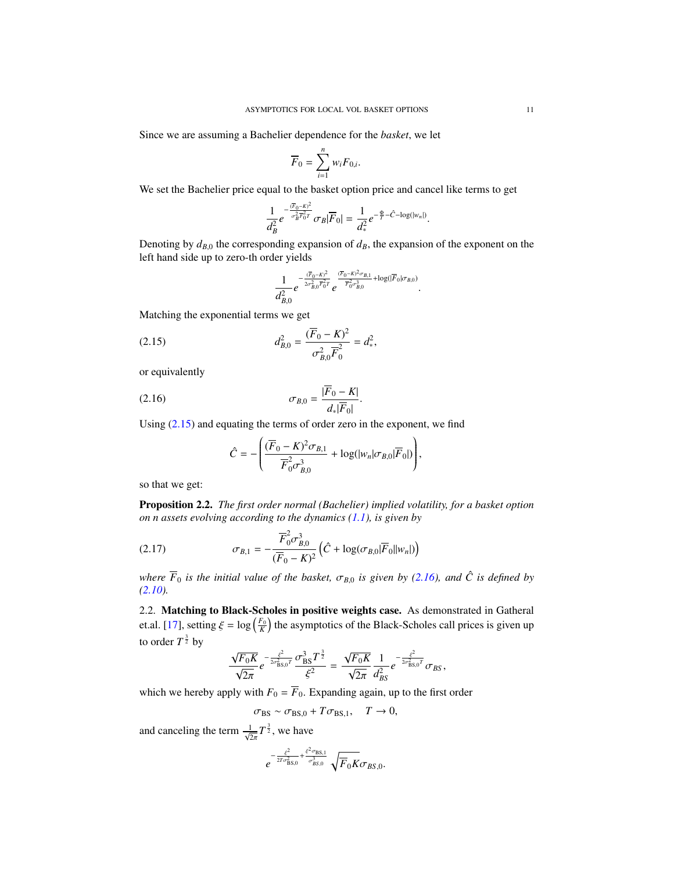Since we are assuming a Bachelier dependence for the *basket*, we let

$$
\overline{F}_0 = \sum_{i=1}^n w_i F_{0,i}.
$$

We set the Bachelier price equal to the basket option price and cancel like terms to get

$$
\frac{1}{d_B^2}e^{-\frac{(\overline{F}_0-K)^2}{\sigma_B^2\overline{F}_0^2T}}\sigma_B|\overline{F}_0|=\frac{1}{d_*^2}e^{-\frac{\Phi}{T}-\hat{C}-\log(|w_n|)}.
$$

Denoting by  $d_{B,0}$  the corresponding expansion of  $d_B$ , the expansion of the exponent on the left hand side up to zero-th order yields

<span id="page-10-1"></span>
$$
\frac{1}{d_{B,0}^2}e^{-\frac{(\overline{F}_0-K)^2}{2\sigma_{B,0}^2\overline{F}_0^2T}}e^{\frac{(\overline{F}_0-K)^2\sigma_{B,1}}{\overline{F}_0^2\sigma_{B,0}^3}+\log(|\overline{F}_0|\sigma_{B,0})}.
$$

Matching the exponential terms we get

(2.15) 
$$
d_{B,0}^2 = \frac{(\overline{F}_0 - K)^2}{\sigma_{B,0}^2 \overline{F}_0^2} = d_*^2,
$$

or equivalently

$$
\sigma_{B,0} = \frac{|\overline{F}_0 - K|}{d_*|\overline{F}_0|}.
$$

Using [\(2.15\)](#page-10-1) and equating the terms of order zero in the exponent, we find

<span id="page-10-2"></span>
$$
\hat{C} = -\left(\frac{(\overline{F}_0 - K)^2 \sigma_{B,1}}{\overline{F}_0^2 \sigma_{B,0}^3} + \log(|w_n| \sigma_{B,0}|\overline{F}_0|)\right),\,
$$

so that we get:

Proposition 2.2. *The first order normal (Bachelier) implied volatility, for a basket option on n assets evolving according to the dynamics [\(1.1\)](#page-0-0), is given by*

<span id="page-10-0"></span>(2.17) 
$$
\sigma_{B,1} = -\frac{\overline{F}_{0}^{2} \sigma_{B,0}^{3}}{(\overline{F}_{0} - K)^{2}} \left( \hat{C} + \log(\sigma_{B,0} |\overline{F}_{0}||w_{n}|) \right)
$$

*where*  $\overline{F}_0$  *is the initial value of the basket,*  $\sigma_{B,0}$  *is given by [\(2.16\)](#page-10-2), and*  $\hat{C}$  *is defined by [\(2.10\)](#page-8-2).*

2.2. Matching to Black-Scholes in positive weights case. As demonstrated in Gatheral et.al. [\[17\]](#page-32-2), setting  $\xi = \log\left(\frac{F_0}{K}\right)$  the asymptotics of the Black-Scholes call prices is given up to order  $T^{\frac{3}{2}}$  by

$$
\frac{\sqrt{F_0K}}{\sqrt{2\pi}}e^{-\frac{\xi^2}{2\sigma_{\rm BS,0}^2}T}\frac{\sigma_{\rm BS}^3T^{\frac{3}{2}}}{\xi^2}=\frac{\sqrt{F_0K}}{\sqrt{2\pi}}\frac{1}{d_{BS}^2}e^{-\frac{\xi^2}{2\sigma_{\rm BS,0}^2}T}\sigma_{BS},
$$

which we hereby apply with  $F_0 = F_0$ . Expanding again, up to the first order

 $\sigma_{BS} \sim \sigma_{BS,0} + T \sigma_{BS,1}, \quad T \to 0,$ 

and canceling the term  $\frac{1}{\sqrt{2\pi}}T^{\frac{3}{2}}$ , we have

$$
e^{-\frac{\xi^2}{2T\sigma_{\text{BS},0}^2}+\frac{\xi^2\sigma_{\text{BS},1}}{\sigma_{BS,0}^3}}\sqrt{F_0K}\sigma_{BS,0}.
$$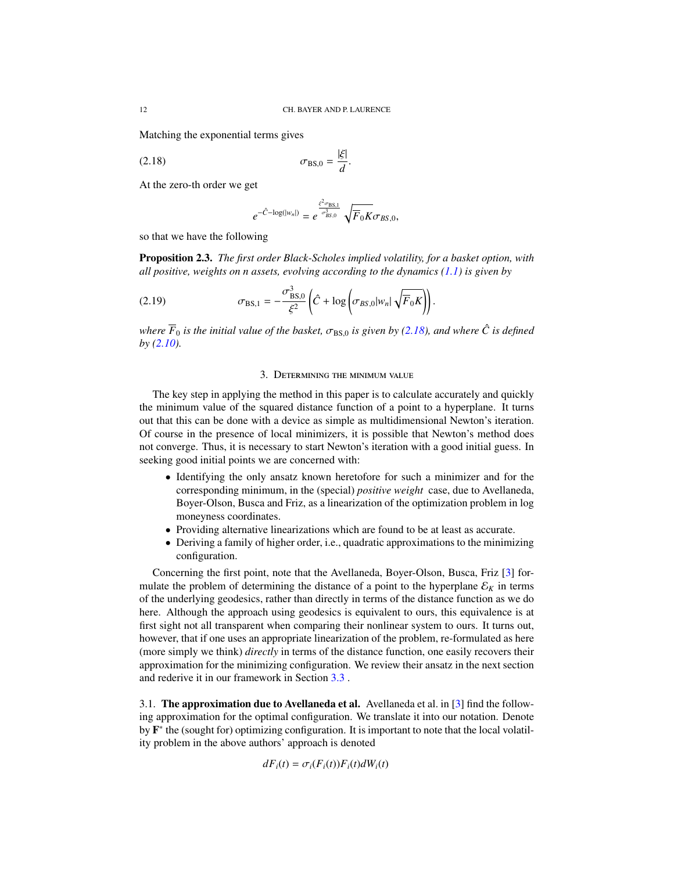Matching the exponential terms gives

$$
\sigma_{\rm BS,0} = \frac{|\xi|}{d}.
$$

At the zero-th order we get

<span id="page-11-1"></span>
$$
e^{-\hat{C}-\log(|w_n|)} = e^{\frac{\xi^2 \sigma_{BS,1}}{\sigma_{BS,0}^3}} \sqrt{F_0 K} \sigma_{BS,0},
$$

so that we have the following

Proposition 2.3. *The first order Black-Scholes implied volatility, for a basket option, with all positive, weights on n assets, evolving according to the dynamics [\(1.1\)](#page-0-0) is given by*

(2.19) 
$$
\sigma_{\text{BS},1} = -\frac{\sigma_{\text{BS},0}^3}{\xi^2} \left( \hat{C} + \log \left( \sigma_{BS,0} |w_n| \sqrt{\overline{F}_0 K} \right) \right)
$$

*where*  $\overline{F}_0$  *is the initial value of the basket,*  $\sigma_{BS,0}$  *is given by [\(2.18\)](#page-11-1), and where*  $\hat{C}$  *is defined*  $\overline{F}_0$   $(2.10)$ *by [\(2.10\)](#page-8-2).*

## <span id="page-11-0"></span>3. Determining the minimum value

The key step in applying the method in this paper is to calculate accurately and quickly the minimum value of the squared distance function of a point to a hyperplane. It turns out that this can be done with a device as simple as multidimensional Newton's iteration. Of course in the presence of local minimizers, it is possible that Newton's method does not converge. Thus, it is necessary to start Newton's iteration with a good initial guess. In seeking good initial points we are concerned with:

- Identifying the only ansatz known heretofore for such a minimizer and for the corresponding minimum, in the (special) *positive weight* case, due to Avellaneda, Boyer-Olson, Busca and Friz, as a linearization of the optimization problem in log moneyness coordinates.
- Providing alternative linearizations which are found to be at least as accurate.
- Deriving a family of higher order, i.e., quadratic approximations to the minimizing configuration.

Concerning the first point, note that the Avellaneda, Boyer-Olson, Busca, Friz [\[3\]](#page-32-0) formulate the problem of determining the distance of a point to the hyperplane  $\mathcal{E}_K$  in terms of the underlying geodesics, rather than directly in terms of the distance function as we do here. Although the approach using geodesics is equivalent to ours, this equivalence is at first sight not all transparent when comparing their nonlinear system to ours. It turns out, however, that if one uses an appropriate linearization of the problem, re-formulated as here (more simply we think) *directly* in terms of the distance function, one easily recovers their approximation for the minimizing configuration. We review their ansatz in the next section and rederive it in our framework in Section [3.3](#page-13-0) .

<span id="page-11-2"></span>3.1. The approximation due to Avellaneda et al. Avellaneda et al. in  $\lceil 3 \rceil$  find the following approximation for the optimal configuration. We translate it into our notation. Denote by **F**<sup>\*</sup> the (sought for) optimizing configuration. It is important to note that the local volatility problem in the above authors' approach is denoted

$$
dF_i(t) = \sigma_i(F_i(t))F_i(t)dW_i(t)
$$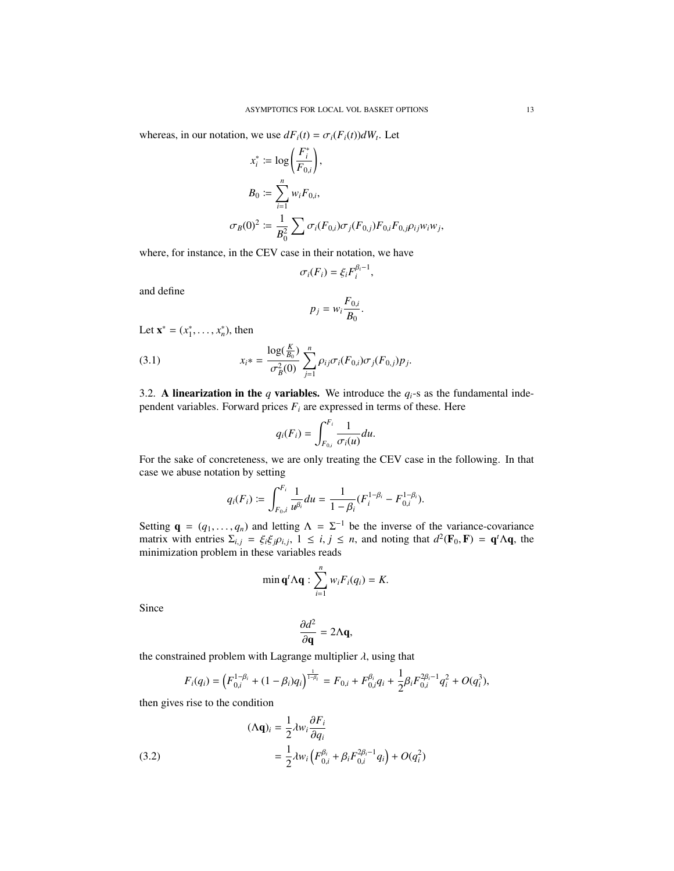whereas, in our notation, we use  $dF_i(t) = \sigma_i(F_i(t))dW_i$ . Let

$$
x_i^* := \log\left(\frac{F_i^*}{F_{0,i}}\right),
$$
  
\n
$$
B_0 := \sum_{i=1}^n w_i F_{0,i},
$$
  
\n
$$
\sigma_B(0)^2 := \frac{1}{B_0^2} \sum \sigma_i(F_{0,i}) \sigma_j(F_{0,j}) F_{0,i} F_{0,j} \rho_{ij} w_i w_j,
$$

where, for instance, in the CEV case in their notation, we have

$$
\sigma_i(F_i) = \xi_i F_i^{\beta_i - 1},
$$

and define

$$
p_j = w_i \frac{F_{0,i}}{B_0}.
$$

Let  $\mathbf{x}^* = (x_1^*, \dots, x_n^*)$ , then

(3.1) 
$$
x_{i} = \frac{\log(\frac{K}{B_{0}})}{\sigma_{B}^{2}(0)} \sum_{j=1}^{n} \rho_{ij} \sigma_{i}(F_{0,i}) \sigma_{j}(F_{0,j}) p_{j}.
$$

3.2. A linearization in the *q* variables. We introduce the  $q_i$ -s as the fundamental independent variables. Forward prices  $F_i$  are expressed in terms of these. Here

<span id="page-12-1"></span>
$$
q_i(F_i) = \int_{F_{0,i}}^{F_i} \frac{1}{\sigma_i(u)} du.
$$

For the sake of concreteness, we are only treating the CEV case in the following. In that case we abuse notation by setting

$$
q_i(F_i) := \int_{F_{0,i}}^{F_i} \frac{1}{u^{\beta_i}} du = \frac{1}{1-\beta_i} (F_i^{1-\beta_i} - F_{0,i}^{1-\beta_i}).
$$

Setting  $\mathbf{q} = (q_1, \dots, q_n)$  and letting  $\Lambda = \Sigma^{-1}$  be the inverse of the variance-covariance matrix with entries  $\Sigma_{\pm} = \mathcal{E} \mathcal{E}_{\pm} \Omega_{\pm} \pm \mathcal{E}_{\pm} \mathbf{q}$  and noting that  $d^2(\mathbf{F}_0, \mathbf{F}) = \mathbf{q}^t \Lambda \mathbf{q}$ , the matrix with entries  $\Sigma_{i,j} = \xi_i \xi_j \rho_{i,j}$ ,  $1 \le i, j \le n$ , and noting that  $d^2(\mathbf{F}_0, \mathbf{F}) = \mathbf{q}^t \Lambda \mathbf{q}$ , the minimization problem in these variables reads minimization problem in these variables reads

$$
\min \mathbf{q}^t \Lambda \mathbf{q} : \sum_{i=1}^n w_i F_i(q_i) = K.
$$

Since

$$
\frac{\partial d^2}{\partial \mathbf{q}} = 2\Lambda \mathbf{q},
$$

the constrained problem with Lagrange multiplier  $\lambda$ , using that

$$
F_i(q_i) = \left(F_{0,i}^{1-\beta_i} + (1-\beta_i)q_i\right)^{\frac{1}{1-\beta_i}} = F_{0,i} + F_{0,i}^{\beta_i}q_i + \frac{1}{2}\beta_i F_{0,i}^{2\beta_i-1}q_i^2 + O(q_i^3),
$$

then gives rise to the condition

<span id="page-12-0"></span>(3.2)  
\n
$$
(\Lambda \mathbf{q})_i = \frac{1}{2} \lambda w_i \frac{\partial F_i}{\partial q_i}
$$
\n
$$
= \frac{1}{2} \lambda w_i \left( F_{0,i}^{\beta_i} + \beta_i F_{0,i}^{2\beta_i - 1} q_i \right) + O(q_i^2)
$$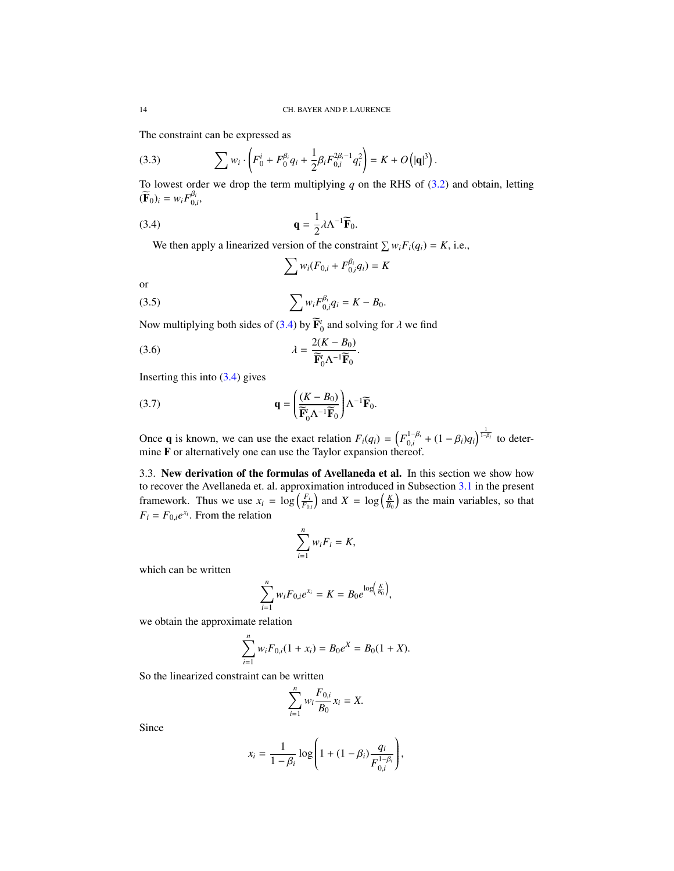The constraint can be expressed as

(3.3) 
$$
\sum w_i \cdot \left( F_0^i + F_0^{\beta_i} q_i + \frac{1}{2} \beta_i F_{0,i}^{2\beta_i - 1} q_i^2 \right) = K + O\left(|\mathbf{q}|^3\right).
$$

To lowest order we drop the term multiplying  $q$  on the RHS of  $(3.2)$  and obtain, letting  $(\mathbf{F}_0)_i = w_i F_{0,i}^{\beta_i},$ 

(3.4) 
$$
\mathbf{q} = \frac{1}{2} \lambda \Lambda^{-1} \widetilde{\mathbf{F}}_0.
$$

We then apply a linearized version of the constraint  $\sum w_i F_i(q_i) = K$ , i.e.,

<span id="page-13-4"></span><span id="page-13-2"></span><span id="page-13-1"></span>
$$
\sum w_i (F_{0,i} + F_{0,i}^{\beta_i} q_i) = K
$$

or

(3.5) 
$$
\sum w_i F_{0,i}^{\beta_i} q_i = K - B_0.
$$

Now multiplying both sides of [\(3.4\)](#page-13-1) by  $\mathbf{\overline{F}}_0^t$  and solving for  $\lambda$  we find

(3.6) 
$$
\lambda = \frac{2(K - B_0)}{\widetilde{\mathbf{F}}_0^t \Lambda^{-1} \widetilde{\mathbf{F}}_0}.
$$

Inserting this into  $(3.4)$  gives

(3.7) 
$$
\mathbf{q} = \left(\frac{(K - B_0)}{\widetilde{\mathbf{F}}_0' \Lambda^{-1} \widetilde{\mathbf{F}}_0}\right) \Lambda^{-1} \widetilde{\mathbf{F}}_0.
$$

Once **q** is known, we can use the exact relation  $F_i(q_i) = \left( F_{0,i}^{1-\beta_i} \right)$ <sup>1−β*i*</sup> + (1 − β*i*)*q<sub>i</sub>*)<sup> $\frac{1}{1-\beta i}$ </sup> to determine F or alternatively one can use the Taylor expansion thereof.

<span id="page-13-0"></span>3.3. New derivation of the formulas of Avellaneda et al. In this section we show how to recover the Avellaneda et. al. approximation introduced in Subsection [3.1](#page-11-2) in the present framework. Thus we use  $x_i = \log \left( \frac{F_i}{F_{0,i}} \right)$ ) and  $X = \log\left(\frac{K}{B_0}\right)$  as the main variables, so that  $F_i = F_{0,i}e^{x_i}$ . From the relation

<span id="page-13-3"></span>
$$
\sum_{i=1}^n w_i F_i = K,
$$

which can be written

$$
\sum_{i=1}^n w_i F_{0,i} e^{x_i} = K = B_0 e^{\log \left(\frac{K}{B_0}\right)},
$$

we obtain the approximate relation

$$
\sum_{i=1}^{n} w_i F_{0,i}(1+x_i) = B_0 e^X = B_0 (1+X).
$$

So the linearized constraint can be written

$$
\sum_{i=1}^n w_i \frac{F_{0,i}}{B_0} x_i = X.
$$

Since

$$
x_i = \frac{1}{1 - \beta_i} \log \left( 1 + (1 - \beta_i) \frac{q_i}{F_{0,i}^{1 - \beta_i}} \right),
$$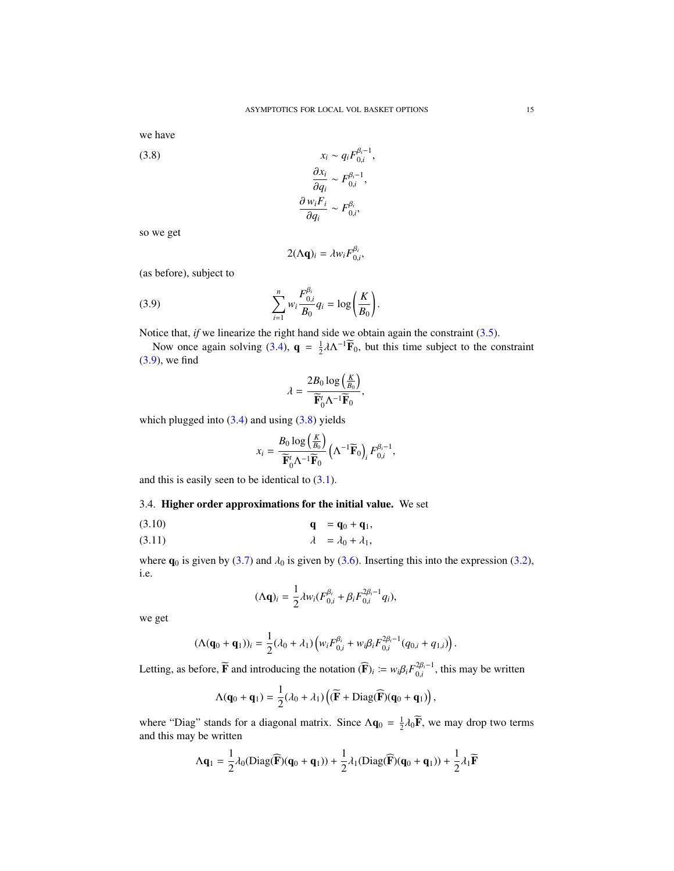we have

<span id="page-14-1"></span>(3.8)  
\n
$$
x_{i} \sim q_{i} F_{0,i}^{\beta_{i}-1},
$$
\n
$$
\frac{\partial x_{i}}{\partial q_{i}} \sim F_{0,i}^{\beta_{i}-1},
$$
\n
$$
\frac{\partial w_{i} F_{i}}{\partial q_{i}} \sim F_{0,i}^{\beta_{i}},
$$

so we get

<span id="page-14-0"></span>
$$
2(\Lambda \mathbf{q})_i = \lambda w_i F_{0,i}^{\beta_i},
$$

(as before), subject to

(3.9) 
$$
\sum_{i=1}^{n} w_i \frac{F_{0,i}^{\beta_i}}{B_0} q_i = \log \left(\frac{K}{B_0}\right).
$$

Notice that, *if* we linearize the right hand side we obtain again the constraint [\(3.5\)](#page-13-2).

Now once again solving [\(3.4\)](#page-13-1),  $\mathbf{q} = \frac{1}{2} \lambda \Lambda^{-1} \widetilde{\mathbf{F}}_0$ , but this time subject to the constraint [\(3.9\)](#page-14-0), we find

$$
\lambda = \frac{2B_0 \log\left(\frac{K}{B_0}\right)}{\widetilde{\mathbf{F}}_0^t \Lambda^{-1} \widetilde{\mathbf{F}}_0},
$$

which plugged into  $(3.4)$  and using  $(3.8)$  yields

$$
x_i = \frac{B_0 \log\left(\frac{K}{B_0}\right)}{\widetilde{\mathbf{F}}'_0 \Lambda^{-1} \widetilde{\mathbf{F}}_0} \left(\Lambda^{-1} \widetilde{\mathbf{F}}_0\right)_i F_{0,i}^{\beta_i - 1},
$$

and this is easily seen to be identical to  $(3.1)$ .

3.4. Higher order approximations for the initial value. We set

$$
\mathbf{q} = \mathbf{q}_0 + \mathbf{q}_1, \tag{3.10}
$$

$$
\lambda = \lambda_0 + \lambda_1,
$$

where  $\mathbf{q}_0$  is given by [\(3.7\)](#page-13-3) and  $\lambda_0$  is given by [\(3.6\)](#page-13-4). Inserting this into the expression [\(3.2\)](#page-12-0), i.e.

$$
(\Lambda \mathbf{q})_i = \frac{1}{2} \lambda w_i (F_{0,i}^{\beta_i} + \beta_i F_{0,i}^{2\beta_i - 1} q_i),
$$

we get

$$
(\Lambda(\mathbf{q}_0+\mathbf{q}_1))_i=\frac{1}{2}(\lambda_0+\lambda_1)\left(w_iF_{0,i}^{\beta_i}+w_i\beta_iF_{0,i}^{2\beta_i-1}(q_{0,i}+q_{1,i})\right).
$$

Letting, as before,  $\widetilde{\mathbf{F}}$  and introducing the notation  $(\widehat{\mathbf{F}})$ *i*  $:= w_i \beta_i F_{0,i}^{2\beta_i - 1}$  $_{0,i}^{2p_i-1}$ , this may be written

$$
\Lambda(\mathbf{q}_0 + \mathbf{q}_1) = \frac{1}{2} (\lambda_0 + \lambda_1) \left( (\widetilde{\mathbf{F}} + \mathrm{Diag}(\widehat{\mathbf{F}})(\mathbf{q}_0 + \mathbf{q}_1) \right),
$$

where "Diag" stands for a diagonal matrix. Since  $\Lambda q_0 = \frac{1}{2} \lambda_0 \vec{F}$ , we may drop two terms and this may be written and this may be written

$$
\Lambda\mathbf{q}_1 = \frac{1}{2}\lambda_0(\text{Diag}(\widehat{\mathbf{F}})(\mathbf{q}_0 + \mathbf{q}_1)) + \frac{1}{2}\lambda_1(\text{Diag}(\widehat{\mathbf{F}})(\mathbf{q}_0 + \mathbf{q}_1)) + \frac{1}{2}\lambda_1\widetilde{\mathbf{F}}
$$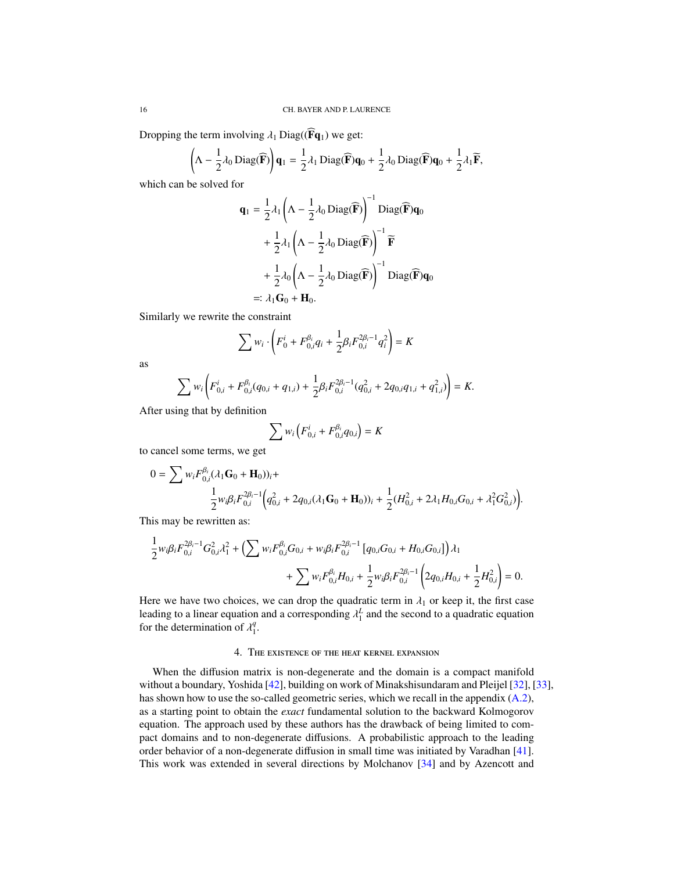Dropping the term involving  $\lambda_1$  Diag(( $\widehat{F}q_1$ ) we get:

$$
\left(\Lambda - \frac{1}{2}\lambda_0 \operatorname{Diag}(\widehat{\mathbf{F}})\right)\mathbf{q}_1 = \frac{1}{2}\lambda_1 \operatorname{Diag}(\widehat{\mathbf{F}})\mathbf{q}_0 + \frac{1}{2}\lambda_0 \operatorname{Diag}(\widehat{\mathbf{F}})\mathbf{q}_0 + \frac{1}{2}\lambda_1 \widetilde{\mathbf{F}},
$$

which can be solved for

$$
\mathbf{q}_1 = \frac{1}{2} \lambda_1 \left( \Lambda - \frac{1}{2} \lambda_0 \operatorname{Diag}(\widehat{\mathbf{F}}) \right)^{-1} \operatorname{Diag}(\widehat{\mathbf{F}}) \mathbf{q}_0
$$
  
+  $\frac{1}{2} \lambda_1 \left( \Lambda - \frac{1}{2} \lambda_0 \operatorname{Diag}(\widehat{\mathbf{F}}) \right)^{-1} \widetilde{\mathbf{F}}$   
+  $\frac{1}{2} \lambda_0 \left( \Lambda - \frac{1}{2} \lambda_0 \operatorname{Diag}(\widehat{\mathbf{F}}) \right)^{-1} \operatorname{Diag}(\widehat{\mathbf{F}}) \mathbf{q}_0$   
=:  $\lambda_1 \mathbf{G}_0 + \mathbf{H}_0$ .

Similarly we rewrite the constraint

$$
\sum w_i \cdot \left( F_0^i + F_{0,i}^{\beta_i} q_i + \frac{1}{2} \beta_i F_{0,i}^{2\beta_i - 1} q_i^2 \right) = K
$$

as

$$
\sum w_i \left( F_{0,i}^i + F_{0,i}^{\beta_i} (q_{0,i} + q_{1,i}) + \frac{1}{2} \beta_i F_{0,i}^{2\beta_i - 1} (q_{0,i}^2 + 2q_{0,i}q_{1,i} + q_{1,i}^2) \right) = K.
$$

After using that by definition

$$
\sum w_i \left( F_{0,i}^i + F_{0,i}^{\beta_i} q_{0,i} \right) = K
$$

to cancel some terms, we get

$$
0 = \sum w_i F_{0,i}^{\beta_i} (\lambda_1 \mathbf{G}_0 + \mathbf{H}_0)_{i} +
$$
  

$$
\frac{1}{2} w_i \beta_i F_{0,i}^{2\beta_i - 1} \left( q_{0,i}^2 + 2q_{0,i} (\lambda_1 \mathbf{G}_0 + \mathbf{H}_0)_{i} + \frac{1}{2} (H_{0,i}^2 + 2\lambda_1 H_{0,i} G_{0,i} + \lambda_1^2 G_{0,i}^2) \right)
$$

This may be rewritten as:

$$
\begin{split} \frac{1}{2} w_i \beta_i F_{0,i}^{2\beta_i-1} G_{0,i}^2 \lambda_1^2 + \Big( \sum w_i F_{0,i}^{\beta_i} G_{0,i} + w_i \beta_i F_{0,i}^{2\beta_i-1} \left[ q_{0,i} G_{0,i} + H_{0,i} G_{0,i} \right] \Big) \lambda_1 \\ + \sum w_i F_{0,i}^{\beta_i} H_{0,i} + \frac{1}{2} w_i \beta_i F_{0,i}^{2\beta_i-1} \left( 2 q_{0,i} H_{0,i} + \frac{1}{2} H_{0,i}^2 \right) = 0. \end{split}
$$

Here we have two choices, we can drop the quadratic term in  $\lambda_1$  or keep it, the first case leading to a linear equation and a corresponding  $\lambda_1^L$  and the second to a quadratic equation for the determination of  $\lambda_1^q$ for the determination of  $\lambda_1^q$  $\frac{q}{1}$ .

# 4. The existence of the heat kernel expansion

<span id="page-15-0"></span>When the diffusion matrix is non-degenerate and the domain is a compact manifold without a boundary, Yoshida [\[42\]](#page-33-9), building on work of Minakshisundaram and Pleijel [\[32\]](#page-33-10), [\[33\]](#page-33-11), has shown how to use the so-called geometric series, which we recall in the appendix  $(A.2)$ , as a starting point to obtain the *exact* fundamental solution to the backward Kolmogorov equation. The approach used by these authors has the drawback of being limited to compact domains and to non-degenerate diffusions. A probabilistic approach to the leading order behavior of a non-degenerate diffusion in small time was initiated by Varadhan [\[41\]](#page-33-7). This work was extended in several directions by Molchanov [\[34\]](#page-33-12) and by Azencott and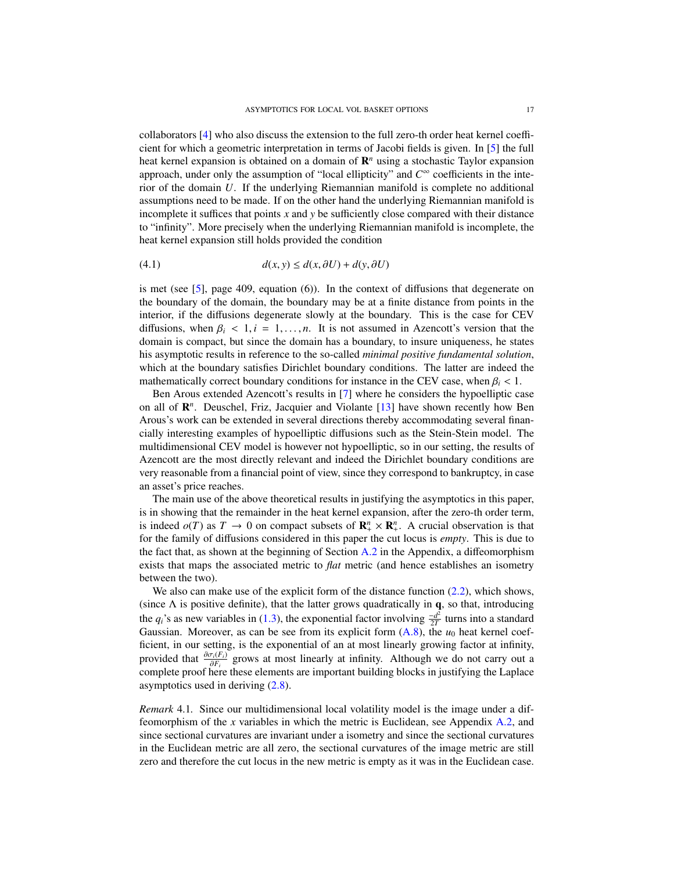collaborators [\[4\]](#page-32-16) who also discuss the extension to the full zero-th order heat kernel coefficient for which a geometric interpretation in terms of Jacobi fields is given. In [\[5\]](#page-32-11) the full heat kernel expansion is obtained on a domain of  $\mathbb{R}^n$  using a stochastic Taylor expansion approach, under only the assumption of "local ellipticity" and  $C^{\infty}$  coefficients in the interior of the domain *U*. If the underlying Riemannian manifold is complete no additional assumptions need to be made. If on the other hand the underlying Riemannian manifold is incomplete it suffices that points *x* and *y* be sufficiently close compared with their distance to "infinity". More precisely when the underlying Riemannian manifold is incomplete, the heat kernel expansion still holds provided the condition

(4.1) 
$$
d(x, y) \leq d(x, \partial U) + d(y, \partial U)
$$

is met (see  $[5]$ , page 409, equation (6)). In the context of diffusions that degenerate on the boundary of the domain, the boundary may be at a finite distance from points in the interior, if the diffusions degenerate slowly at the boundary. This is the case for CEV diffusions, when  $\beta_i$  < 1, *i* = 1, ..., *n*. It is not assumed in Azencott's version that the domain is compact, but since the domain has a boundary, to insure uniqueness, he states his asymptotic results in reference to the so-called *minimal positive fundamental solution*, which at the boundary satisfies Dirichlet boundary conditions. The latter are indeed the mathematically correct boundary conditions for instance in the CEV case, when  $\beta_i$  < 1.

Ben Arous extended Azencott's results in [\[7\]](#page-32-12) where he considers the hypoelliptic case on all of  $\mathbb{R}^n$ . Deuschel, Friz, Jacquier and Violante [\[13\]](#page-32-17) have shown recently how Ben Arous's work can be extended in several directions thereby accommodating several financially interesting examples of hypoelliptic diffusions such as the Stein-Stein model. The multidimensional CEV model is however not hypoelliptic, so in our setting, the results of Azencott are the most directly relevant and indeed the Dirichlet boundary conditions are very reasonable from a financial point of view, since they correspond to bankruptcy, in case an asset's price reaches.

The main use of the above theoretical results in justifying the asymptotics in this paper, is in showing that the remainder in the heat kernel expansion, after the zero-th order term, is indeed  $o(T)$  as  $T \to 0$  on compact subsets of  $\mathbb{R}^n_+ \times \mathbb{R}^n_+$ . A crucial observation is that for the family of diffusions considered in this paper the cut locus is *empty*. This is due to the fact that, as shown at the beginning of Section [A.2](#page-30-0) in the Appendix, a diffeomorphism exists that maps the associated metric to *flat* metric (and hence establishes an isometry between the two).

We also can make use of the explicit form of the distance function  $(2.2)$ , which shows, (since  $\Lambda$  is positive definite), that the latter grows quadratically in  $q$ , so that, introducing the  $q_i$ 's as new variables in [\(1.3\)](#page-6-1), the exponential factor involving  $\frac{-d^2}{2T}$  $\frac{d^2}{2T}$  turns into a standard Gaussian. Moreover, as can be see from its explicit form  $(A.8)$ , the  $u_0$  heat kernel coefficient, in our setting, is the exponential of an at most linearly growing factor at infinity, provided that  $\frac{\partial \sigma_i(F_i)}{\partial F_i}$  grows at most linearly at infinity. Although we do not carry out a  $\frac{\partial F_i}{\partial P_i}$  grows at most initially at initially. This capacity out at complete proof here these elements are important building blocks in justifying the Laplace asymptotics used in deriving [\(2.8\)](#page-8-3).

*Remark* 4.1*.* Since our multidimensional local volatility model is the image under a diffeomorphism of the *x* variables in which the metric is Euclidean, see Appendix [A.2,](#page-30-0) and since sectional curvatures are invariant under a isometry and since the sectional curvatures in the Euclidean metric are all zero, the sectional curvatures of the image metric are still zero and therefore the cut locus in the new metric is empty as it was in the Euclidean case.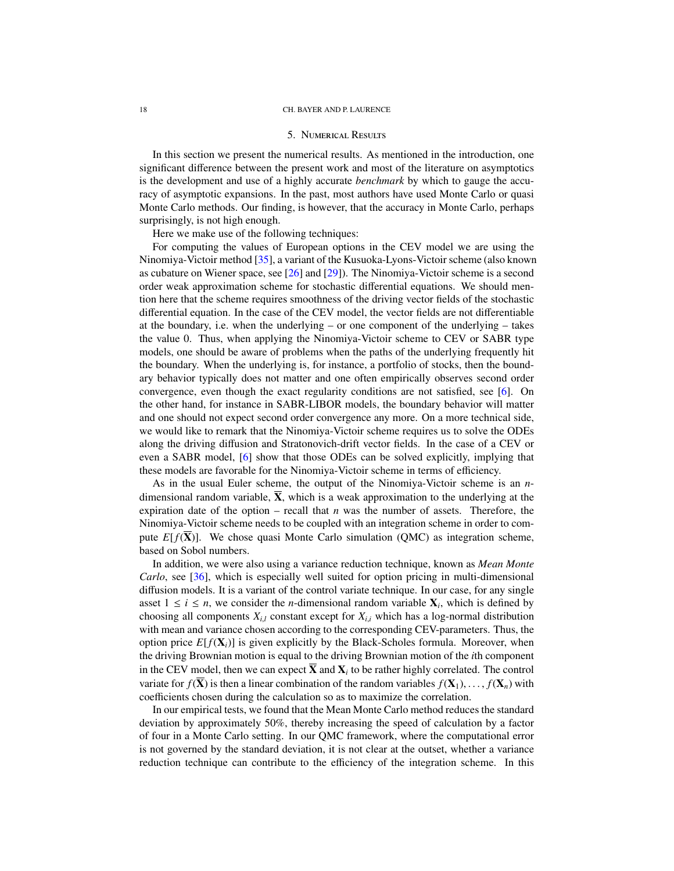#### 5. Numerical Results

In this section we present the numerical results. As mentioned in the introduction, one significant difference between the present work and most of the literature on asymptotics is the development and use of a highly accurate *benchmark* by which to gauge the accuracy of asymptotic expansions. In the past, most authors have used Monte Carlo or quasi Monte Carlo methods. Our finding, is however, that the accuracy in Monte Carlo, perhaps surprisingly, is not high enough.

Here we make use of the following techniques:

For computing the values of European options in the CEV model we are using the Ninomiya-Victoir method [\[35\]](#page-33-8), a variant of the Kusuoka-Lyons-Victoir scheme (also known as cubature on Wiener space, see [\[26\]](#page-32-18) and [\[29\]](#page-33-13)). The Ninomiya-Victoir scheme is a second order weak approximation scheme for stochastic differential equations. We should mention here that the scheme requires smoothness of the driving vector fields of the stochastic differential equation. In the case of the CEV model, the vector fields are not differentiable at the boundary, i.e. when the underlying  $-$  or one component of the underlying  $-$  takes the value 0. Thus, when applying the Ninomiya-Victoir scheme to CEV or SABR type models, one should be aware of problems when the paths of the underlying frequently hit the boundary. When the underlying is, for instance, a portfolio of stocks, then the boundary behavior typically does not matter and one often empirically observes second order convergence, even though the exact regularity conditions are not satisfied, see [\[6\]](#page-32-19). On the other hand, for instance in SABR-LIBOR models, the boundary behavior will matter and one should not expect second order convergence any more. On a more technical side, we would like to remark that the Ninomiya-Victoir scheme requires us to solve the ODEs along the driving diffusion and Stratonovich-drift vector fields. In the case of a CEV or even a SABR model, [\[6\]](#page-32-19) show that those ODEs can be solved explicitly, implying that these models are favorable for the Ninomiya-Victoir scheme in terms of efficiency.

As in the usual Euler scheme, the output of the Ninomiya-Victoir scheme is an *n*dimensional random variable,  $\overline{\mathbf{X}}$ , which is a weak approximation to the underlying at the expiration date of the option – recall that *n* was the number of assets. Therefore, the Ninomiya-Victoir scheme needs to be coupled with an integration scheme in order to compute  $E[f(X)]$ . We chose quasi Monte Carlo simulation (QMC) as integration scheme, based on Sobol numbers.

In addition, we were also using a variance reduction technique, known as *Mean Monte Carlo*, see [\[36\]](#page-33-14), which is especially well suited for option pricing in multi-dimensional diffusion models. It is a variant of the control variate technique. In our case, for any single asset  $1 \le i \le n$ , we consider the *n*-dimensional random variable  $X_i$ , which is defined by choosing all components  $X_{i,l}$  constant except for  $X_{i,i}$  which has a log-normal distribution with mean and variance chosen according to the corresponding CEV-parameters. Thus, the option price  $E[f(\mathbf{X}_i)]$  is given explicitly by the Black-Scholes formula. Moreover, when the driving Brownian motion is equal to the driving Brownian motion of the *i*th component in the CEV model, then we can expect  $X$  and  $X_i$  to be rather highly correlated. The control variate for  $f(\overline{X})$  is then a linear combination of the random variables  $f(X_1), \ldots, f(X_n)$  with coefficients chosen during the calculation so as to maximize the correlation.

In our empirical tests, we found that the Mean Monte Carlo method reduces the standard deviation by approximately 50%, thereby increasing the speed of calculation by a factor of four in a Monte Carlo setting. In our QMC framework, where the computational error is not governed by the standard deviation, it is not clear at the outset, whether a variance reduction technique can contribute to the efficiency of the integration scheme. In this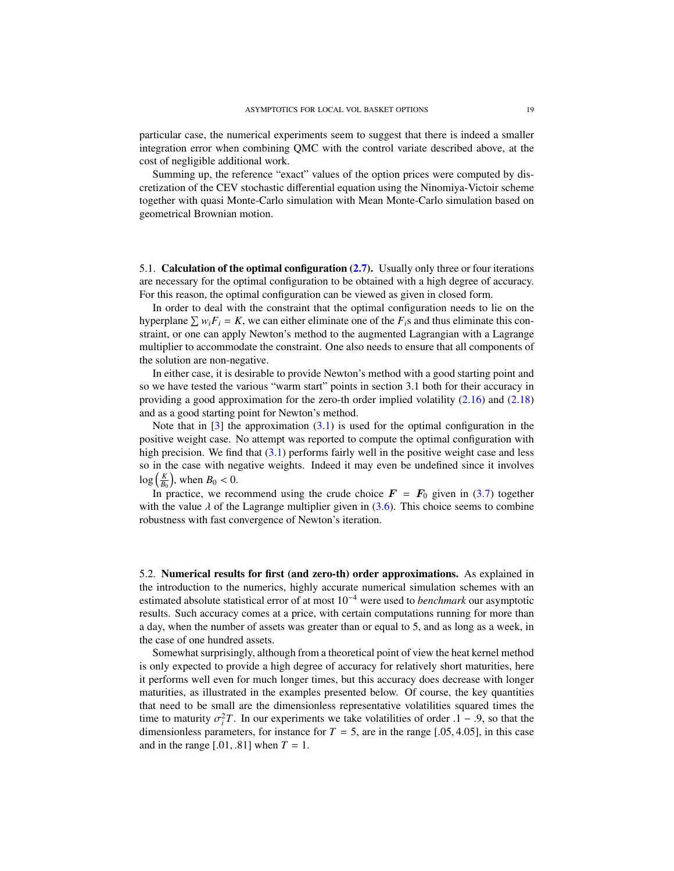particular case, the numerical experiments seem to suggest that there is indeed a smaller integration error when combining QMC with the control variate described above, at the cost of negligible additional work.

Summing up, the reference "exact" values of the option prices were computed by discretization of the CEV stochastic differential equation using the Ninomiya-Victoir scheme together with quasi Monte-Carlo simulation with Mean Monte-Carlo simulation based on geometrical Brownian motion.

5.1. Calculation of the optimal configuration [\(2.7\)](#page-8-4). Usually only three or four iterations are necessary for the optimal configuration to be obtained with a high degree of accuracy. For this reason, the optimal configuration can be viewed as given in closed form.

In order to deal with the constraint that the optimal configuration needs to lie on the hyperplane  $\sum w_i F_i = K$ , we can either eliminate one of the  $F_i$ s and thus eliminate this constraint, or one can apply Newton's method to the augmented Lagrangian with a Lagrange multiplier to accommodate the constraint. One also needs to ensure that all components of the solution are non-negative.

In either case, it is desirable to provide Newton's method with a good starting point and so we have tested the various "warm start" points in section 3.1 both for their accuracy in providing a good approximation for the zero-th order implied volatility [\(2.16\)](#page-10-2) and [\(2.18\)](#page-11-1) and as a good starting point for Newton's method.

Note that in  $\lceil 3 \rceil$  the approximation  $(3.1)$  is used for the optimal configuration in the positive weight case. No attempt was reported to compute the optimal configuration with high precision. We find that  $(3.1)$  performs fairly well in the positive weight case and less so in the case with negative weights. Indeed it may even be undefined since it involves  $\log\left(\frac{K}{B_0}\right)$ , when  $B_0 < 0$ .<br>In practice, we rec

In practice, we recommend using the crude choice  $\mathbf{F} = \mathbf{F}_0$  given in [\(3.7\)](#page-13-3) together with the value  $\lambda$  of the Lagrange multiplier given in [\(3.6\)](#page-13-4). This choice seems to combine robustness with fast convergence of Newton's iteration.

5.2. Numerical results for first (and zero-th) order approximations. As explained in the introduction to the numerics, highly accurate numerical simulation schemes with an estimated absolute statistical error of at most 10<sup>−</sup><sup>4</sup> were used to *benchmark* our asymptotic results. Such accuracy comes at a price, with certain computations running for more than a day, when the number of assets was greater than or equal to 5, and as long as a week, in the case of one hundred assets.

Somewhat surprisingly, although from a theoretical point of view the heat kernel method is only expected to provide a high degree of accuracy for relatively short maturities, here it performs well even for much longer times, but this accuracy does decrease with longer maturities, as illustrated in the examples presented below. Of course, the key quantities that need to be small are the dimensionless representative volatilities squared times the time to maturity  $\sigma_i^2 T$ . In our experiments we take volatilities of order  $1 - .9$ , so that the dimensionless parameters for instance for  $T = 5$  are in the range [05, 4.05] in this case dimensionless parameters, for instance for  $T = 5$ , are in the range [.05, 4.05], in this case and in the range  $[0.01, 0.81]$  when  $T = 1$ .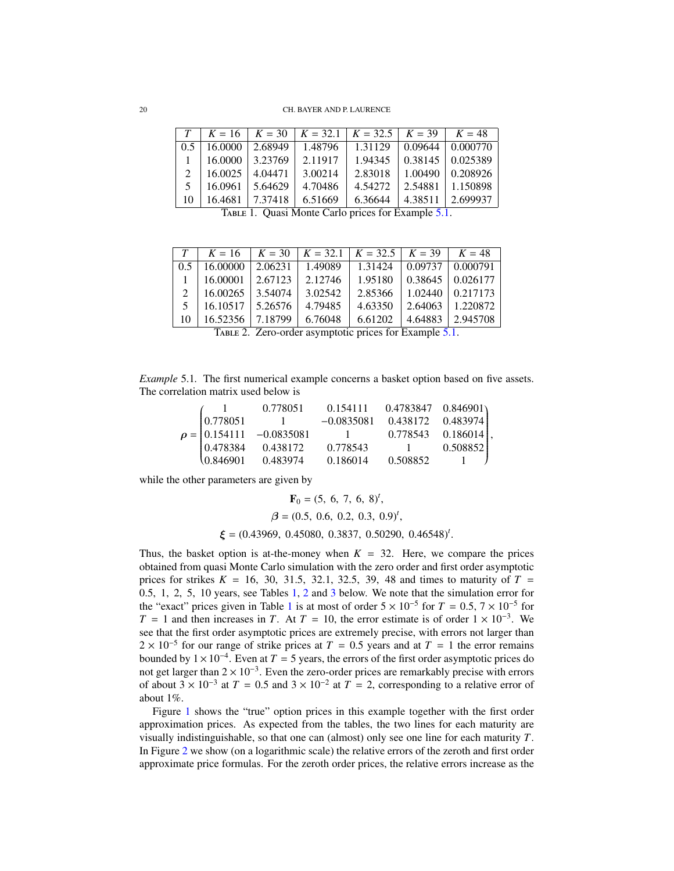<span id="page-19-1"></span>

| T            |         |         |         | $K = 16$   $K = 30$   $K = 32.1$   $K = 32.5$   $K = 39$   $K = 48$ |         |                      |
|--------------|---------|---------|---------|---------------------------------------------------------------------|---------|----------------------|
| 0.5          | 16.0000 | 2.68949 | 1.48796 | 1.31129                                                             |         | $0.09644$   0.000770 |
| $\mathbf{1}$ | 16.0000 | 3.23769 | 2.11917 | 1.94345                                                             |         | $0.38145$   0.025389 |
| 2            | 16.0025 | 4.04471 | 3.00214 | 2.83018                                                             |         | $1.00490$   0.208926 |
| 5            | 16.0961 | 5.64629 | 4.70486 | 4.54272                                                             |         | 2.54881 1.150898     |
| 10           | 16.4681 | 7.37418 | 6.51669 | 6.36644                                                             | 4.38511 | 2.699937             |
|              |         |         |         | TABLE 1. Quasi Monte Carlo prices for Example 5.1.                  |         |                      |

<span id="page-19-2"></span>

| T              | $K = 16$ |         |         | $K = 30$   $K = 32.1$   $K = 32.5$   $K = 39$   $K = 48$ |         |                                |
|----------------|----------|---------|---------|----------------------------------------------------------|---------|--------------------------------|
| 0.5            | 16.00000 | 2.06231 | 1.49089 | 1.31424                                                  |         | $\vert 0.09737 \vert 0.000791$ |
|                | 16.00001 | 2.67123 | 2.12746 | 1.95180                                                  | 0.38645 | 0.026177                       |
| $\mathfrak{D}$ | 16.00265 | 3.54074 | 3.02542 | 2.85366                                                  | 1.02440 | 0.217173                       |
|                | 16.10517 | 5.26576 | 4.79485 | 4.63350                                                  | 2.64063 | 1.220872                       |
| 10             | 16.52356 | 7.18799 | 6.76048 | 6.61202                                                  | 4.64883 | 2.945708                       |
|                |          |         |         | TABLE 2. Zero-order asymptotic prices for Example 5.1.   |         |                                |

<span id="page-19-0"></span>*Example* 5.1*.* The first numerical example concerns a basket option based on five assets. The correlation matrix used below is

|  | 0.778051                                                                     | $0.154111$ $0.4783847$ $0.846901$ |                              |          |  |
|--|------------------------------------------------------------------------------|-----------------------------------|------------------------------|----------|--|
|  |                                                                              | $-0.0835081$                      | 0.438172 0.483974            |          |  |
|  | $\rho = \begin{bmatrix} 0.778051 & 1 \\ 0.154111 & -0.0835081 \end{bmatrix}$ | $1 \t0.778543 \t0.186014,$        |                              |          |  |
|  | 0.478384 0.438172                                                            | 0.778543                          |                              | 0.508852 |  |
|  | $(0.846901 \quad 0.483974 \quad 0.186014)$                                   |                                   | $0.508852 \qquad 1 \qquad J$ |          |  |
|  |                                                                              |                                   |                              |          |  |

while the other parameters are given by

$$
\mathbf{F}_0 = (5, 6, 7, 6, 8)^t,
$$
  
\n
$$
\beta = (0.5, 0.6, 0.2, 0.3, 0.9)^t,
$$
  
\n
$$
\boldsymbol{\xi} = (0.43969, 0.45080, 0.3837, 0.50290, 0.46548)^t
$$

Thus, the basket option is at-the-money when  $K = 32$ . Here, we compare the prices obtained from quasi Monte Carlo simulation with the zero order and first order asymptotic prices for strikes  $K = 16, 30, 31.5, 32.1, 32.5, 39, 48$  and times to maturity of  $T =$ <sup>0</sup>.5, <sup>1</sup>, <sup>2</sup>, <sup>5</sup>, 10 years, see Tables [1,](#page-19-1) [2](#page-19-2) and [3](#page-20-0) below. We note that the simulation error for the "exact" prices given in Table [1](#page-19-1) is at most of order  $5 \times 10^{-5}$  for  $T = 0.5, 7 \times 10^{-5}$  for  $T = 1$  and then increases in  $T = 4$ t  $T = 10$ , the error estimate is of order  $1 \times 10^{-3}$ . We  $T = 1$  and then increases in *T*. At  $T = 10$ , the error estimate is of order  $1 \times 10^{-3}$ . We see that the first order asymptotic prices are extremely precise, with errors not larger than  $2 \times 10^{-5}$  for our range of strike prices at  $T = 0.5$  years and at  $T = 1$  the error remains bounded by  $1 \times 10^{-4}$ . Even at  $T = 5$  years, the errors of the first order asymptotic prices do bounded by  $1 \times 10^{-4}$ . Even at *T* = 5 years, the errors of the first order asymptotic prices do not get larger than  $2 \times 10^{-3}$ . Even the zero-order prices are remarkably precise with errors of about  $3 \times 10^{-3}$  at  $T = 0.5$  and  $3 \times 10^{-2}$  at  $T = 2$ , corresponding to a relative error of about 1%.

Figure [1](#page-20-1) shows the "true" option prices in this example together with the first order approximation prices. As expected from the tables, the two lines for each maturity are visually indistinguishable, so that one can (almost) only see one line for each maturity *T*. In Figure [2](#page-21-0) we show (on a logarithmic scale) the relative errors of the zeroth and first order approximate price formulas. For the zeroth order prices, the relative errors increase as the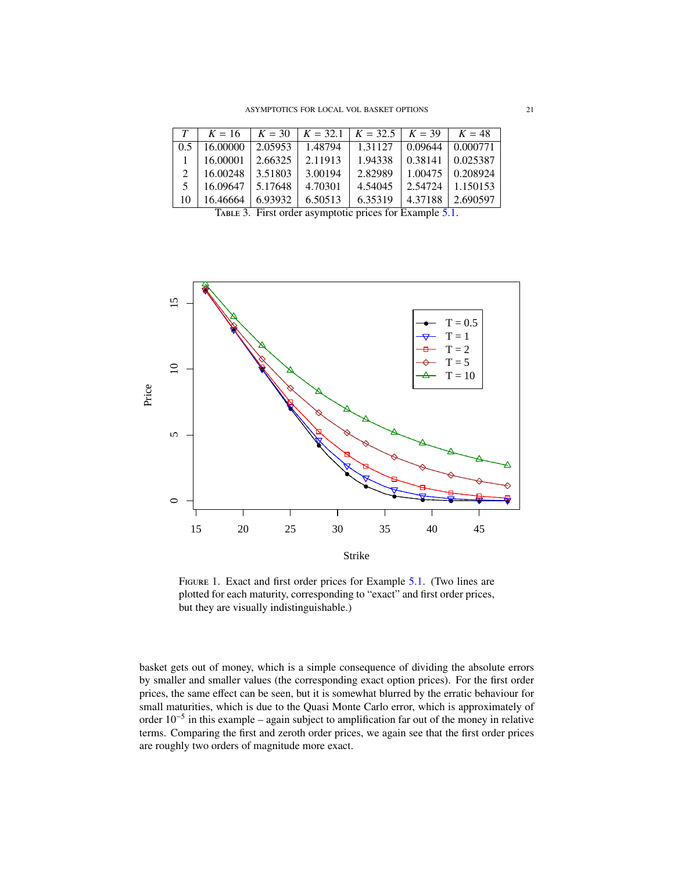<span id="page-20-0"></span>

| T   |                      |         |         | $K = 16$   $K = 30$   $K = 32.1$   $K = 32.5$   $K = 39$   $K = 48$ |                                |
|-----|----------------------|---------|---------|---------------------------------------------------------------------|--------------------------------|
| 0.5 | $16.00000$   2.05953 |         | 1.48794 | 1.31127                                                             | $\vert 0.09644 \vert 0.000771$ |
|     | 16.00001             | 2.66325 | 2.11913 | 1.94338                                                             | $\vert 0.38141 \vert 0.025387$ |
| 2   | $16.00248$   3.51803 |         | 3.00194 | 2.82989                                                             | $1.00475 \mid 0.208924$        |
| .5  | $16.09647$   5.17648 |         | 4.70301 | 4.54045                                                             | $2.54724$   1.150153           |
| 10  | 16.46664             | 6.93932 | 6.50513 | 6.35319                                                             | 4.37188 2.690597               |
|     |                      |         |         | TABLE 3. First order asymptotic prices for Example 5.1.             |                                |

<span id="page-20-1"></span>

FIGURE 1. Exact and first order prices for Example [5.1.](#page-19-0) (Two lines are plotted for each maturity, corresponding to "exact" and first order prices, but they are visually indistinguishable.)

basket gets out of money, which is a simple consequence of dividing the absolute errors by smaller and smaller values (the corresponding exact option prices). For the first order prices, the same effect can be seen, but it is somewhat blurred by the erratic behaviour for small maturities, which is due to the Quasi Monte Carlo error, which is approximately of order 10<sup>−</sup><sup>5</sup> in this example – again subject to amplification far out of the money in relative terms. Comparing the first and zeroth order prices, we again see that the first order prices are roughly two orders of magnitude more exact.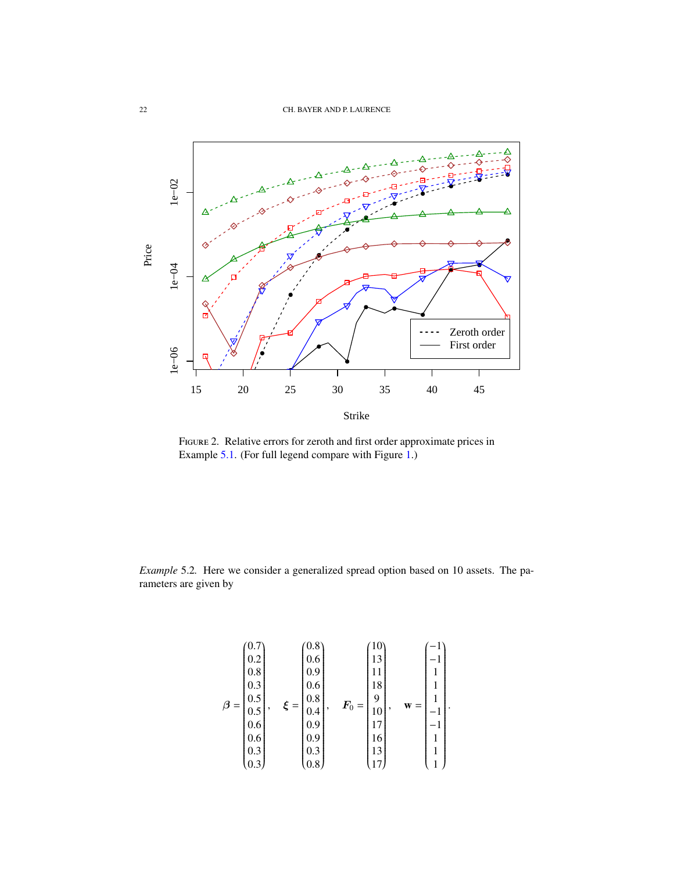<span id="page-21-0"></span>

Figure 2. Relative errors for zeroth and first order approximate prices in Example [5.1.](#page-19-0) (For full legend compare with Figure [1.](#page-20-1))

<span id="page-21-1"></span>*Example* 5.2*.* Here we consider a generalized spread option based on 10 assets. The parameters are given by

$$
\beta = \begin{bmatrix}\n0.7 \\
0.2 \\
0.8 \\
0.8 \\
0.3 \\
0.5 \\
0.6 \\
0.6 \\
0.3 \\
0.3\n\end{bmatrix}, \quad \xi = \begin{bmatrix}\n0.8 \\
0.6 \\
0.9 \\
0.6 \\
0.4 \\
0.9 \\
0.9 \\
0.9 \\
0.3 \\
0.8\n\end{bmatrix}, \quad \mathbf{F}_0 = \begin{bmatrix}\n10 \\
13 \\
11 \\
18 \\
9 \\
10 \\
17 \\
15 \\
13 \\
13 \\
17\n\end{bmatrix}, \quad \mathbf{w} = \begin{bmatrix}\n-1 \\
-1 \\
1 \\
1 \\
-1 \\
-1 \\
1 \\
1 \\
1\n\end{bmatrix}.
$$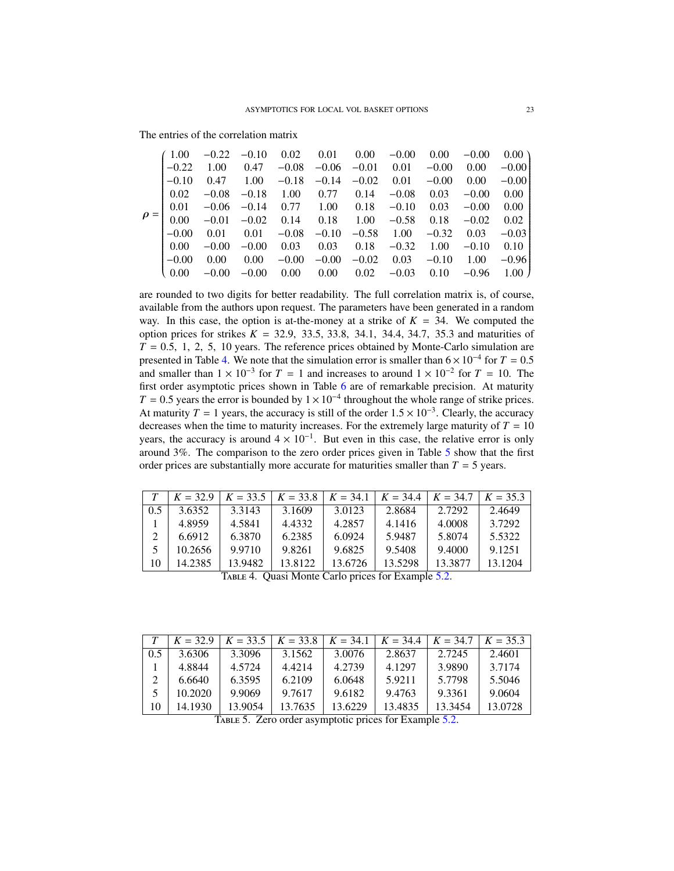The entries of the correlation matrix

| (1.00)               | $-0.22$           |                |          | $-0.10$ $0.02$ $0.01$ $0.00$                                                                    | $-0.00$              | 0.00                 | $-0.00$ | $0.00 \lambda$ |
|----------------------|-------------------|----------------|----------|-------------------------------------------------------------------------------------------------|----------------------|----------------------|---------|----------------|
| $-0.22$              |                   | 1.00 0.47      |          | $-0.08$ $-0.06$ $-0.01$ $0.01$ $-0.00$                                                          |                      |                      | 0.00    | $-0.00$        |
| $1 - 0.10$           |                   |                |          | $0.47$ $1.00$ $-0.18$ $-0.14$ $-0.02$                                                           |                      | $0.01 - 0.00$        | 0.00    | $-0.00$        |
|                      |                   |                |          | $\begin{bmatrix} 0.02 & -0.08 & -0.18 & 1.00 & 0.77 & 0.14 \end{bmatrix}$                       | $-0.08$              | 0.03                 | $-0.00$ | 0.00           |
|                      |                   |                |          | $\begin{bmatrix} 0.01 & -0.06 & -0.14 & 0.77 & 1.00 & 0.18 & -0.10 \end{bmatrix}$               |                      | 0.03                 | $-0.00$ | 0.00           |
|                      |                   |                |          | $\rho = \begin{bmatrix} 0.00 & -0.01 & -0.02 & 0.14 & 0.18 & 1.00 & -0.58 & 0.18 \end{bmatrix}$ |                      |                      | $-0.02$ | 0.02           |
| $-0.00$              |                   | $0.01$ $0.01$  |          | $-0.08$ $-0.10$                                                                                 | $-0.58$ 1.00 $-0.32$ |                      | 0.03    | $-0.03$        |
| $\vert 0.00 \vert$   |                   | $-0.00 - 0.00$ | 0.03     | $0.03 \qquad 0.18$                                                                              | $-0.32$ 1.00         |                      | $-0.10$ | 0.10           |
| $\Big  -0.00$        | $0.00\qquad 0.00$ |                |          | $-0.00 - 0.00$                                                                                  |                      | $-0.02$ 0.03 $-0.10$ | 1.00    | $-0.96$        |
| $\binom{0.00}{0.00}$ | $-0.00$           | $-0.00$        | $0.00\,$ | $0.00 \ 0.02$                                                                                   | $-0.03$              | 0.10                 |         | $-0.96$ 1.00 J |
|                      |                   |                |          |                                                                                                 |                      |                      |         |                |

are rounded to two digits for better readability. The full correlation matrix is, of course, available from the authors upon request. The parameters have been generated in a random way. In this case, the option is at-the-money at a strike of  $K = 34$ . We computed the option prices for strikes  $K = 32.9$ , 33.5, 33.8, 34.1, 34.4, 34.7, 35.3 and maturities of  $T = 0.5 \pm 1.2 \pm 5.10$  years. The reference prices obtained by Monte-Carlo simulation are  $T = 0.5, 1, 2, 5, 10$  years. The reference prices obtained by Monte-Carlo simulation are<br>presented in Table 4. We note that the simulation error is smaller than  $6 \times 10^{-4}$  for  $T = 0.5$ presented in Table [4.](#page-22-0) We note that the simulation error is smaller than  $6 \times 10^{-4}$  for  $T = 0.5$ <br>and smaller than  $1 \times 10^{-3}$  for  $T = 1$  and increases to around  $1 \times 10^{-2}$  for  $T = 10$ . The and smaller than  $1 \times 10^{-3}$  for  $T = 1$  and increases to around  $1 \times 10^{-2}$  for  $T = 10$ . The first order asymptotic prices shown in Table [6](#page-23-0) are of remarkable precision. At maturity *T* = 0.5 years the error is bounded by  $1 \times 10^{-4}$  throughout the whole range of strike prices. At maturity *T* = 1 years, the accuracy is still of the order  $1.5 \times 10^{-3}$ . Clearly, the accuracy decreases when the time to maturity increases. For the extremely large maturity of *T* – 10 decreases when the time to maturity increases. For the extremely large maturity of  $T = 10$ years, the accuracy is around  $4 \times 10^{-1}$ . But even in this case, the relative error is only around 3%. The comparison to the zero order prices given in Table [5](#page-22-1) show that the first order prices are substantially more accurate for maturities smaller than  $T = 5$  years.

<span id="page-22-0"></span>

|     | $K = 32.9$                                         |         | $K = 33.5 \mid K = 33.8 \mid$ | $K = 34.1$ | $K = 34.4$ | $K = 34.7$ | $K = 35.3$ |  |  |  |  |  |
|-----|----------------------------------------------------|---------|-------------------------------|------------|------------|------------|------------|--|--|--|--|--|
| 0.5 | 3.6352                                             | 3.3143  | 3.1609                        | 3.0123     | 2.8684     | 2.7292     | 2.4649     |  |  |  |  |  |
|     | 4.8959                                             | 4.5841  | 4.4332                        | 4.2857     | 4.1416     | 4.0008     | 3.7292     |  |  |  |  |  |
| 2   | 6.6912                                             | 6.3870  | 6.2385                        | 6.0924     | 5.9487     | 5.8074     | 5.5322     |  |  |  |  |  |
| 5   | 10.2656                                            | 9.9710  | 9.8261                        | 9.6825     | 9.5408     | 9.4000     | 9.1251     |  |  |  |  |  |
| 10  | 14.2385                                            | 13.9482 | 13.8122                       | 13.6726    | 13.5298    | 13.3877    | 13.1204    |  |  |  |  |  |
|     | TABLE 4. Quasi Monte Carlo prices for Example 5.2. |         |                               |            |            |            |            |  |  |  |  |  |

<span id="page-22-1"></span>

|     | $K = 32.9$ |         | $K = 33.5 \mid K = 33.8 \mid K = 34.1 \mid$            |         | $K = 34.4$ | $K = 34.7$ | $K = 35.3$ |
|-----|------------|---------|--------------------------------------------------------|---------|------------|------------|------------|
| 0.5 | 3.6306     | 3.3096  | 3.1562                                                 | 3.0076  | 2.8637     | 2.7245     | 2.4601     |
|     | 4.8844     | 4.5724  | 4.4214                                                 | 4.2739  | 4.1297     | 3.9890     | 3.7174     |
| 2   | 6.6640     | 6.3595  | 6.2109                                                 | 6.0648  | 5.9211     | 5.7798     | 5.5046     |
| 5   | 10.2020    | 9.9069  | 9.7617                                                 | 9.6182  | 9.4763     | 9.3361     | 9.0604     |
| 10  | 14.1930    | 13.9054 | 13.7635                                                | 13.6229 | 13.4835    | 13.3454    | 13.0728    |
|     |            |         | TABLE 5. Zero order asymptotic prices for Example 5.2. |         |            |            |            |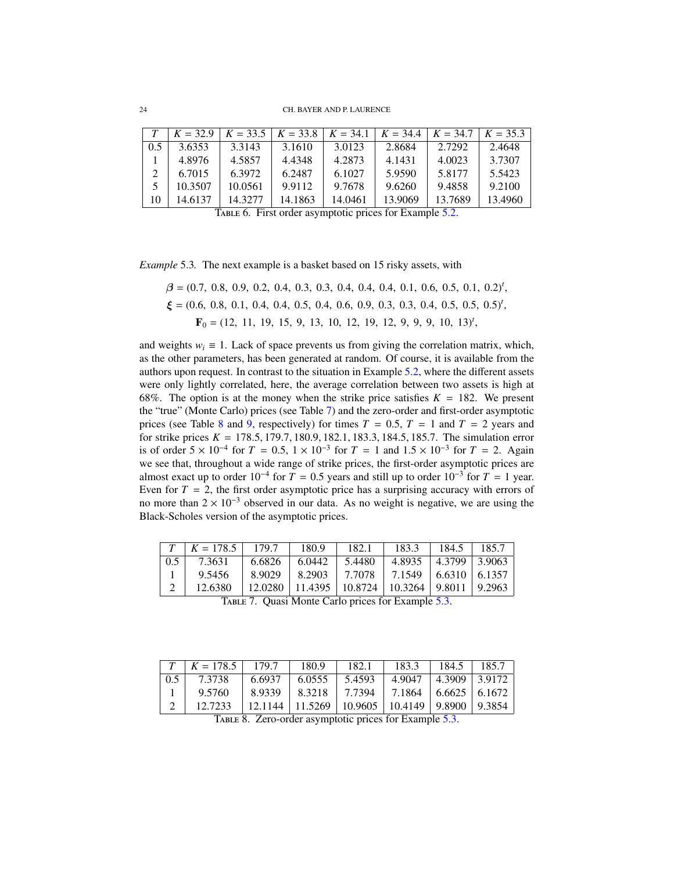<span id="page-23-0"></span>

|     | $K = 32.9$ |                                                         | $K = 33.5$   $K = 33.8$   $K = 34.1$   $K = 34.4$ |         |         | $K = 34.7$ | $K = 35.3$ |
|-----|------------|---------------------------------------------------------|---------------------------------------------------|---------|---------|------------|------------|
| 0.5 | 3.6353     | 3.3143                                                  | 3.1610                                            | 3.0123  | 2.8684  | 2.7292     | 2.4648     |
|     | 4.8976     | 4.5857                                                  | 4.4348                                            | 4.2873  | 4.1431  | 4.0023     | 3.7307     |
| 2   | 6.7015     | 6.3972                                                  | 6.2487                                            | 6.1027  | 5.9590  | 5.8177     | 5.5423     |
|     | 10.3507    | 10.0561                                                 | 9.9112                                            | 9.7678  | 9.6260  | 9.4858     | 9.2100     |
| 10  | 14.6137    | 14.3277                                                 | 14.1863                                           | 14.0461 | 13.9069 | 13.7689    | 13.4960    |
|     |            | TABLE 6. First order asymptotic prices for Example 5.2. |                                                   |         |         |            |            |

<span id="page-23-3"></span>*Example* 5.3*.* The next example is a basket based on 15 risky assets, with

$$
\beta = (0.7, 0.8, 0.9, 0.2, 0.4, 0.3, 0.3, 0.4, 0.4, 0.4, 0.1, 0.6, 0.5, 0.1, 0.2)^t, \n\xi = (0.6, 0.8, 0.1, 0.4, 0.4, 0.5, 0.4, 0.6, 0.9, 0.3, 0.3, 0.4, 0.5, 0.5, 0.5)^t, \nF_0 = (12, 11, 19, 15, 9, 13, 10, 12, 19, 12, 9, 9, 9, 10, 13)^t,
$$

and weights  $w_i \equiv 1$ . Lack of space prevents us from giving the correlation matrix, which, as the other parameters, has been generated at random. Of course, it is available from the authors upon request. In contrast to the situation in Example [5.2,](#page-21-1) where the different assets were only lightly correlated, here, the average correlation between two assets is high at 68%. The option is at the money when the strike price satisfies  $K = 182$ . We present the "true" (Monte Carlo) prices (see Table [7\)](#page-23-1) and the zero-order and first-order asymptotic prices (see Table [8](#page-23-2) and [9,](#page-24-0) respectively) for times  $T = 0.5$ ,  $T = 1$  and  $T = 2$  years and for strike prices  $K = 178.5, 179.7, 180.9, 182.1, 183.3, 184.5, 185.7$ . The simulation error is of order  $5 \times 10^{-4}$  for  $T = 0.5$ ,  $1 \times 10^{-3}$  for  $T = 1$  and  $1.5 \times 10^{-3}$  for  $T = 2$ . Again we see that, throughout a wide range of strike prices, the first-order asymptotic prices are almost exact up to order  $10^{-4}$  for  $T = 0.5$  years and still up to order  $10^{-3}$  for  $T = 1$  year.<br>Fiven for  $T = 2$ , the first order asymptotic price has a surprising accuracy with errors of Even for  $T = 2$ , the first order asymptotic price has a surprising accuracy with errors of no more than  $2 \times 10^{-3}$  observed in our data. As no weight is negative, we are using the Black-Scholes version of the asymptotic prices.

<span id="page-23-1"></span>

|     | $K = 178.5$                                                          | 179.7  | 180.9  | 182.1                                        | 183.3                          | 184.5 | 185.7 |  |  |  |  |
|-----|----------------------------------------------------------------------|--------|--------|----------------------------------------------|--------------------------------|-------|-------|--|--|--|--|
| 0.5 | 7.3631                                                               | 6.6826 | 6.0442 | 5.4480                                       | $4.8935$   $4.3799$   $3.9063$ |       |       |  |  |  |  |
|     | 9.5456                                                               | 8.9029 |        | $8.2903$   7.7078   7.1549   6.6310   6.1357 |                                |       |       |  |  |  |  |
|     | $12.0280$   11.4395   10.8724   10.3264   9.8011   9.2963<br>12.6380 |        |        |                                              |                                |       |       |  |  |  |  |
|     | TABLE 7. Quasi Monte Carlo prices for Example 5.3.                   |        |        |                                              |                                |       |       |  |  |  |  |

<span id="page-23-2"></span>

|                                                                    | $T \mid K = 178.5 \mid 179.7$                          |        | 180.9  | 182.1   | 183.3                    | 184.5              | 185.7 |  |  |  |  |
|--------------------------------------------------------------------|--------------------------------------------------------|--------|--------|---------|--------------------------|--------------------|-------|--|--|--|--|
| 0.5                                                                | 7.3738                                                 | 6.6937 | 6.0555 | 5.4593  | 4.9047                   | $14.3909$   3.9172 |       |  |  |  |  |
|                                                                    | 9.5760                                                 | 8.9339 | 8.3218 | 17.7394 | 7.1864   6.6625   6.1672 |                    |       |  |  |  |  |
| 12.1144   11.5269   10.9605   10.4149   9.8900   9.3854<br>12.7233 |                                                        |        |        |         |                          |                    |       |  |  |  |  |
|                                                                    | TABLE 8. Zero-order asymptotic prices for Example 5.3. |        |        |         |                          |                    |       |  |  |  |  |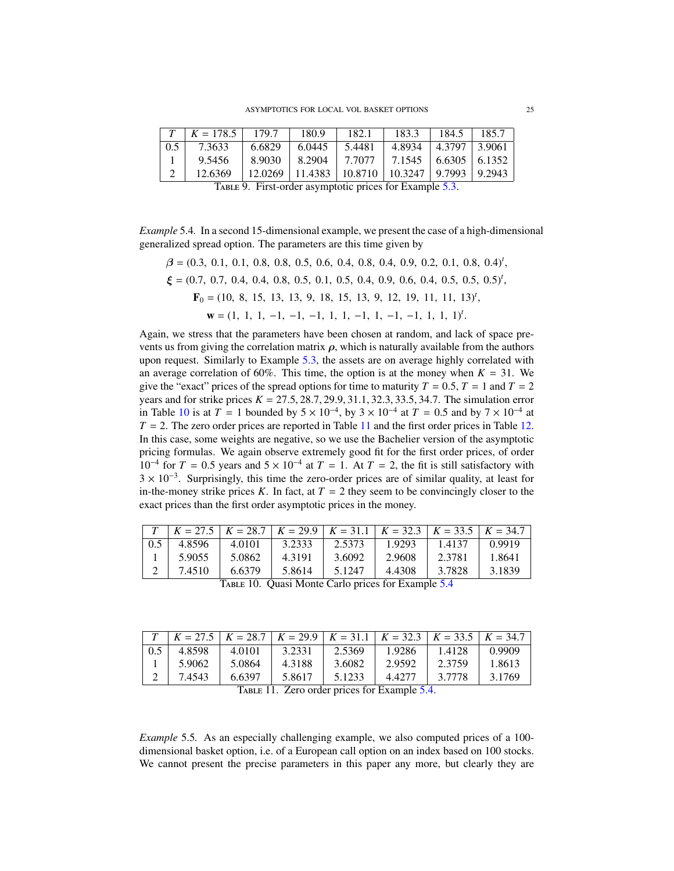<span id="page-24-0"></span>

|                                                                      | $K = 178.5$   179.7                                     |        | 180.9  | 182.1  | 183.3                                 | 184.5                        | 185.7 |  |  |  |  |
|----------------------------------------------------------------------|---------------------------------------------------------|--------|--------|--------|---------------------------------------|------------------------------|-------|--|--|--|--|
| 0.5                                                                  | 7.3633                                                  | 6.6829 | 6.0445 | 5.4481 |                                       | $4.8934$   $4.3797$   3.9061 |       |  |  |  |  |
|                                                                      | 9.5456                                                  | 8.9030 | 8.2904 |        | $7.7077$   $7.1545$   6.6305   6.1352 |                              |       |  |  |  |  |
| $12.0269$   11.4383   10.8710   10.3247   9.7993   9.2943<br>12.6369 |                                                         |        |        |        |                                       |                              |       |  |  |  |  |
|                                                                      | TABLE 9. First-order asymptotic prices for Example 5.3. |        |        |        |                                       |                              |       |  |  |  |  |

<span id="page-24-3"></span>*Example* 5.4*.* In a second 15-dimensional example, we present the case of a high-dimensional generalized spread option. The parameters are this time given by

 $\beta = (0.3, 0.1, 0.1, 0.8, 0.8, 0.5, 0.6, 0.4, 0.8, 0.4, 0.9, 0.2, 0.1, 0.8, 0.4)^t$  $\xi = (0.7, 0.7, 0.4, 0.4, 0.8, 0.5, 0.1, 0.5, 0.4, 0.9, 0.6, 0.4, 0.5, 0.5, 0.5)^t$ ,  $\mathbf{F}_0 = (10, 8, 15, 13, 13, 9, 18, 15, 13, 9, 12, 19, 11, 11, 13)^t$ ,  $\mathbf{w} = (1, 1, 1, -1, -1, -1, 1, 1, -1, 1, -1, -1, 1, 1, 1)^t$ .

Again, we stress that the parameters have been chosen at random, and lack of space prevents us from giving the correlation matrix  $\rho$ , which is naturally available from the authors upon request. Similarly to Example [5.3,](#page-23-3) the assets are on average highly correlated with an average correlation of 60%. This time, the option is at the money when  $K = 31$ . We give the "exact" prices of the spread options for time to maturity  $T = 0.5$ ,  $T = 1$  and  $T = 2$ years and for strike prices  $K = 27.5, 28.7, 29.9, 31.1, 32.3, 33.5, 34.7$ . The simulation error in Table [10](#page-24-1) is at  $T = 1$  bounded by  $5 \times 10^{-4}$ , by  $3 \times 10^{-4}$  at  $T = 0.5$  and by  $7 \times 10^{-4}$  at  $T = 2$ . The zero order prices are reported in Table 11 and the first order prices in Table 12.  $T = 2$ . The zero order prices are reported in Table [11](#page-24-2) and the first order prices in Table [12.](#page-25-0) In this case, some weights are negative, so we use the Bachelier version of the asymptotic pricing formulas. We again observe extremely good fit for the first order prices, of order 10<sup>-4</sup> for *T* = 0.5 years and  $5 \times 10^{-4}$  at *T* = 1. At *T* = 2, the fit is still satisfactory with  $3 \times 10^{-3}$ . Surprisingly, this time the zero-order prices are of similar quality at least for  $3 \times 10^{-3}$ . Surprisingly, this time the zero-order prices are of similar quality, at least for in-the-money strike prices *K*. In fact, at  $T = 2$  they seem to be convincingly closer to the exact prices than the first order asymptotic prices in the money.

<span id="page-24-1"></span>

|     | $T$   $K = 27.5$   $K = 28.7$   $K = 29.9$   $K = 31.1$   $K = 32.3$   $K = 33.5$   $K = 34.7$ |        |        |        |        |        |        |  |  |  |  |  |
|-----|------------------------------------------------------------------------------------------------|--------|--------|--------|--------|--------|--------|--|--|--|--|--|
| 0.5 | 4.8596                                                                                         | 4.0101 | 3.2333 | 2.5373 | 1.9293 | 1.4137 | 0.9919 |  |  |  |  |  |
|     | 5.9055                                                                                         | 5.0862 | 4.3191 | 3.6092 | 2.9608 | 2.3781 | 1.8641 |  |  |  |  |  |
|     | 7.4510                                                                                         | 6.6379 | 5.8614 | 5.1247 | 4.4308 | 3.7828 | 3.1839 |  |  |  |  |  |
|     | TABLE 10. Quasi Monte Carlo prices for Example 5.4                                             |        |        |        |        |        |        |  |  |  |  |  |

<span id="page-24-2"></span>

|                                              | $T$   $K = 27.5$   $K = 28.7$   $K = 29.9$   $K = 31.1$   $K = 32.3$   $K = 33.5$   $K = 34.7$ |        |        |        |         |        |        |  |
|----------------------------------------------|------------------------------------------------------------------------------------------------|--------|--------|--------|---------|--------|--------|--|
| 0.5                                          | 4.8598                                                                                         | 4.0101 | 3.2331 | 2.5369 | 1.9286  | 1.4128 | 0.9909 |  |
|                                              | 5.9062                                                                                         | 5.0864 | 4.3188 | 3.6082 | 2.9592  | 2.3759 | 1.8613 |  |
|                                              | 7.4543                                                                                         | 6.6397 | 5.8617 | 5.1233 | 4.42.77 | 3.7778 | 3.1769 |  |
| TABLE 11. Zero order prices for Example 5.4. |                                                                                                |        |        |        |         |        |        |  |

<span id="page-24-4"></span>*Example* 5.5*.* As an especially challenging example, we also computed prices of a 100 dimensional basket option, i.e. of a European call option on an index based on 100 stocks. We cannot present the precise parameters in this paper any more, but clearly they are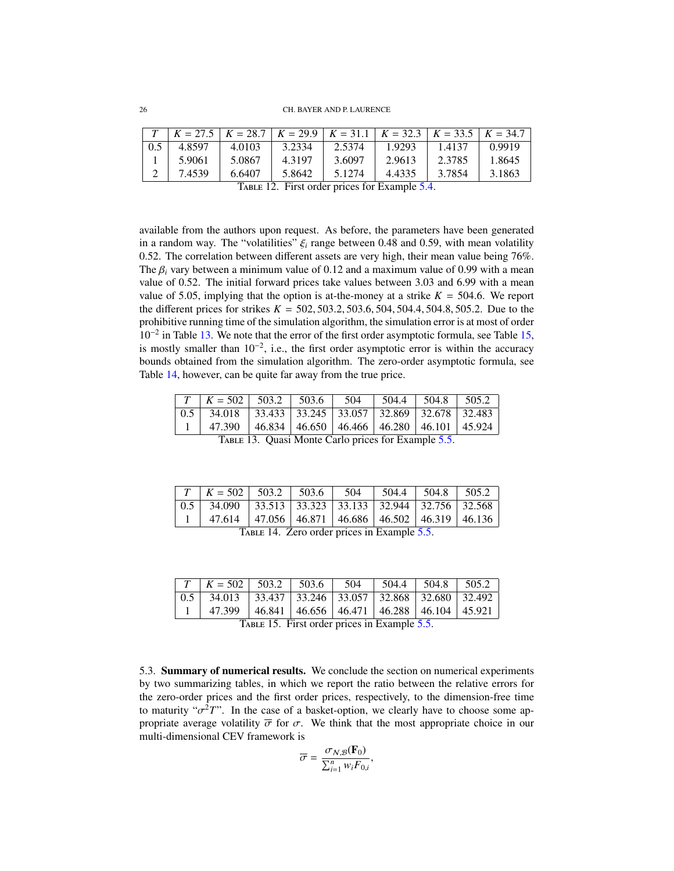<span id="page-25-0"></span>

|     |                                               |        |        |        | $K = 27.5$ $K = 28.7$ $K = 29.9$ $K = 31.1$ $K = 32.3$ $K = 33.5$ $K = 34.7$ |        |        |  |
|-----|-----------------------------------------------|--------|--------|--------|------------------------------------------------------------------------------|--------|--------|--|
| 0.5 | 4.8597                                        | 4.0103 | 3.2334 | 2.5374 | 1.9293                                                                       | 1.4137 | 0.9919 |  |
|     | 5.9061                                        | 5.0867 | 4.3197 | 3.6097 | 2.9613                                                                       | 2.3785 | 1.8645 |  |
|     | 7.4539                                        | 6.6407 | 5.8642 | 5.1274 | 4.4335                                                                       | 3.7854 | 3.1863 |  |
|     | TABLE 12. First order prices for Example 5.4. |        |        |        |                                                                              |        |        |  |

available from the authors upon request. As before, the parameters have been generated in a random way. The "volatilities"  $\xi_i$  range between 0.48 and 0.59, with mean volatility <sup>0</sup>.52. The correlation between different assets are very high, their mean value being 76%. The  $\beta_i$  vary between a minimum value of 0.12 and a maximum value of 0.99 with a mean value of 0.52. The initial forward prices take values between 3.03 and 6.99 with a mean value of 5.05, implying that the option is at-the-money at a strike  $K = 504.6$ . We report the different prices for strikes  $K = 502, 503.2, 503.6, 504, 504.4, 504.8, 505.2$ . Due to the prohibitive running time of the simulation algorithm, the simulation error is at most of order 10<sup>−</sup><sup>2</sup> in Table [13.](#page-25-1) We note that the error of the first order asymptotic formula, see Table [15,](#page-25-2) is mostly smaller than  $10^{-2}$ , i.e., the first order asymptotic error is within the accuracy bounds obtained from the simulation algorithm. The zero-order asymptotic formula, see Table [14,](#page-25-3) however, can be quite far away from the true price.

<span id="page-25-1"></span>

|                                                     | $T \mid K = 502 \mid 503.2 \mid 503.6 \mid 504$                                                |  |  |  |  | $\vert$ 504.4 $\vert$ 504.8 $\vert$ 505.2 |  |
|-----------------------------------------------------|------------------------------------------------------------------------------------------------|--|--|--|--|-------------------------------------------|--|
|                                                     | $\mid 0.5 \mid 34.018 \mid 33.433 \mid 33.245 \mid 33.057 \mid 32.869 \mid 32.678 \mid 32.483$ |  |  |  |  |                                           |  |
|                                                     | 47.390   46.834   46.650   46.466   46.280   46.101   45.924                                   |  |  |  |  |                                           |  |
| TABLE 13. Quasi Monte Carlo prices for Example 5.5. |                                                                                                |  |  |  |  |                                           |  |

<span id="page-25-3"></span>

|                                             | $\mid T \mid K = 502 \mid 503.2 \mid 503.6 \mid 504 \mid 504.4 \mid 504.8 \mid 505.2$             |  |  |  |  |  |  |
|---------------------------------------------|---------------------------------------------------------------------------------------------------|--|--|--|--|--|--|
|                                             | $\boxed{0.5 \mid 34.090 \mid 33.513 \mid 33.323 \mid 33.133 \mid 32.944 \mid 32.756 \mid 32.568}$ |  |  |  |  |  |  |
|                                             | $1   47.614   47.056   46.871   46.686   46.502   46.319   46.136$                                |  |  |  |  |  |  |
| TABLE 14. Zero order prices in Example 5.5. |                                                                                                   |  |  |  |  |  |  |

<span id="page-25-2"></span>

|                                              | $T \mid K = 502 \mid 503.2 \mid 503.6 \mid 504$                |  |  |  |  | $\vert$ 504.4 $\vert$ 504.8 $\vert$ 505.2 |  |
|----------------------------------------------|----------------------------------------------------------------|--|--|--|--|-------------------------------------------|--|
|                                              |                                                                |  |  |  |  |                                           |  |
|                                              | $47.399$   46.841   46.656   46.471   46.288   46.104   45.921 |  |  |  |  |                                           |  |
| TABLE 15. First order prices in Example 5.5. |                                                                |  |  |  |  |                                           |  |

5.3. Summary of numerical results. We conclude the section on numerical experiments by two summarizing tables, in which we report the ratio between the relative errors for the zero-order prices and the first order prices, respectively, to the dimension-free time to maturity " $\sigma^2 T$ ". In the case of a basket-option, we clearly have to choose some appropriate average volatility  $\bar{\sigma}$  for  $\sigma$ . We think that the most appropriate choice in our propriate average volatility  $\overline{\sigma}$  for  $\sigma$ . We think that the most appropriate choice in our multi-dimensional CEV framework is

$$
\overline{\sigma} = \frac{\sigma_{N,B}(\mathbf{F}_0)}{\sum_{i=1}^n w_i F_{0,i}},
$$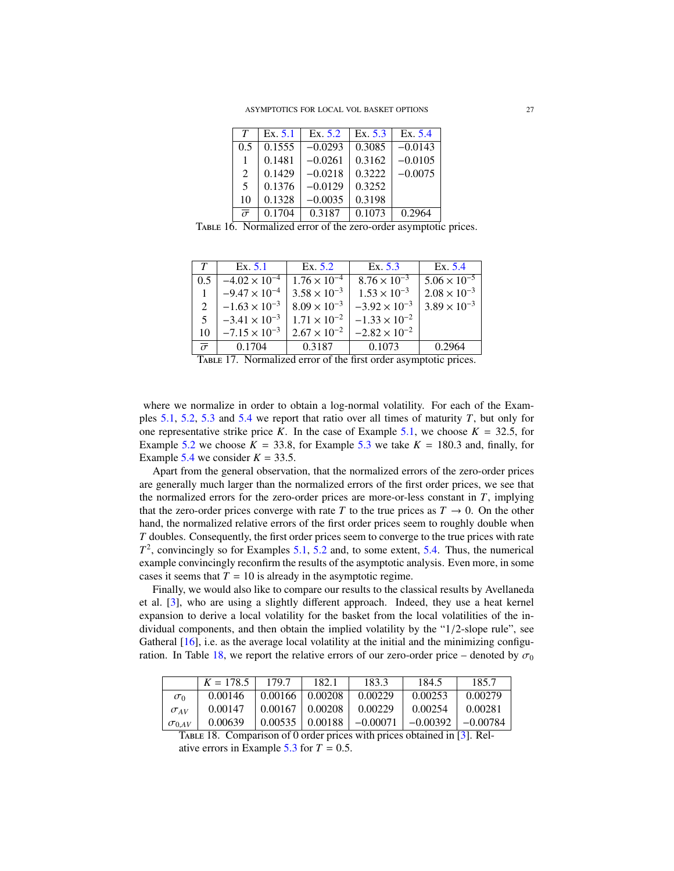| $\tau$                                                          | Ex. 5.1 | Ex. 5.2   | Ex. $5.3$ | Ex. 5.4   |  |  |  |  |
|-----------------------------------------------------------------|---------|-----------|-----------|-----------|--|--|--|--|
| 0.5                                                             | 0.1555  | $-0.0293$ | 0.3085    | $-0.0143$ |  |  |  |  |
|                                                                 | 0.1481  | $-0.0261$ | 0.3162    | $-0.0105$ |  |  |  |  |
| 2                                                               | 0.1429  | $-0.0218$ | 0.3222    | $-0.0075$ |  |  |  |  |
| 5                                                               | 0.1376  | $-0.0129$ | 0.3252    |           |  |  |  |  |
| 10                                                              | 0.1328  | $-0.0035$ | 0.3198    |           |  |  |  |  |
| $\bar{\sigma}$                                                  | 0.1704  | 0.3187    | 0.1073    | 0.2964    |  |  |  |  |
| TABLE 16. Normalized error of the zero-order asymptotic prices. |         |           |           |           |  |  |  |  |

| T                         | Ex. 5.1                | Ex. 5.2               | Ex. 5.3                                                          | Ex. 5.4               |
|---------------------------|------------------------|-----------------------|------------------------------------------------------------------|-----------------------|
| 0.5                       | $-4.02 \times 10^{-4}$ | $1.76 \times 10^{-4}$ | $8.76 \times 10^{-3}$                                            | $5.06 \times 10^{-5}$ |
|                           | $-9.47 \times 10^{-4}$ | $3.58 \times 10^{-3}$ | $1.53 \times 10^{-3}$                                            | $2.08 \times 10^{-3}$ |
| 2                         | $-1.63 \times 10^{-3}$ | $8.09 \times 10^{-3}$ | $-3.92 \times 10^{-3}$                                           | $3.89 \times 10^{-3}$ |
| 5                         | $-3.41 \times 10^{-3}$ | $1.71 \times 10^{-2}$ | $-1.33 \times 10^{-2}$                                           |                       |
| 10                        | $-7.15 \times 10^{-3}$ | $2.67 \times 10^{-2}$ | $-2.82 \times 10^{-2}$                                           |                       |
| $\bar{\overline{\sigma}}$ | 0.1704                 | 0.3187                | 0.1073                                                           | 0.2964                |
|                           |                        |                       | TABLE 17. Normalized error of the first order asymptotic prices. |                       |

where we normalize in order to obtain a log-normal volatility. For each of the Examples [5.1,](#page-19-0) [5.2,](#page-21-1) [5.3](#page-23-3) and [5.4](#page-24-3) we report that ratio over all times of maturity *T*, but only for one representative strike price *K*. In the case of Example [5.1,](#page-19-0) we choose  $K = 32.5$ , for Example [5.2](#page-21-1) we choose  $K = 33.8$ , for Example [5.3](#page-23-3) we take  $K = 180.3$  and, finally, for Example [5.4](#page-24-3) we consider  $K = 33.5$ .

Apart from the general observation, that the normalized errors of the zero-order prices are generally much larger than the normalized errors of the first order prices, we see that the normalized errors for the zero-order prices are more-or-less constant in *T*, implying that the zero-order prices converge with rate *T* to the true prices as  $T \to 0$ . On the other hand, the normalized relative errors of the first order prices seem to roughly double when *T* doubles. Consequently, the first order prices seem to converge to the true prices with rate  $T<sup>2</sup>$ , convincingly so for Examples [5.1,](#page-19-0) [5.2](#page-21-1) and, to some extent, [5.4.](#page-24-3) Thus, the numerical example convincingly reconfirm the results of the asymptotic analysis. Even more, in some cases it seems that  $T = 10$  is already in the asymptotic regime.

Finally, we would also like to compare our results to the classical results by Avellaneda et al. [\[3\]](#page-32-0), who are using a slightly different approach. Indeed, they use a heat kernel expansion to derive a local volatility for the basket from the local volatilities of the individual components, and then obtain the implied volatility by the "1/2-slope rule", see Gatheral  $[16]$ , i.e. as the average local volatility at the initial and the minimizing configu-ration. In Table [18,](#page-26-0) we report the relative errors of our zero-order price – denoted by  $\sigma_0$ 

<span id="page-26-0"></span>

|                                                                          | $K = 178.5$ | 179.7               | 182.1                  | 183.3      | 184.5      | 185.7      |  |  |
|--------------------------------------------------------------------------|-------------|---------------------|------------------------|------------|------------|------------|--|--|
| $\sigma_0$                                                               | 0.00146     | $0.00166$   0.00208 |                        | 0.00229    | 0.00253    | 0.00279    |  |  |
| $\sigma_{AV}$                                                            | 0.00147     | 0.00167             | 0.00208                | 0.00229    | 0.00254    | 0.00281    |  |  |
| $\sigma_{0AV}$                                                           | 0.00639     |                     | $0.00535 \mid 0.00188$ | $-0.00071$ | $-0.00392$ | $-0.00784$ |  |  |
| TABLE 18. Comparison of 0 order prices with prices obtained in [3]. Rel- |             |                     |                        |            |            |            |  |  |

ative errors in Example  $5.3$  for  $T = 0.5$ .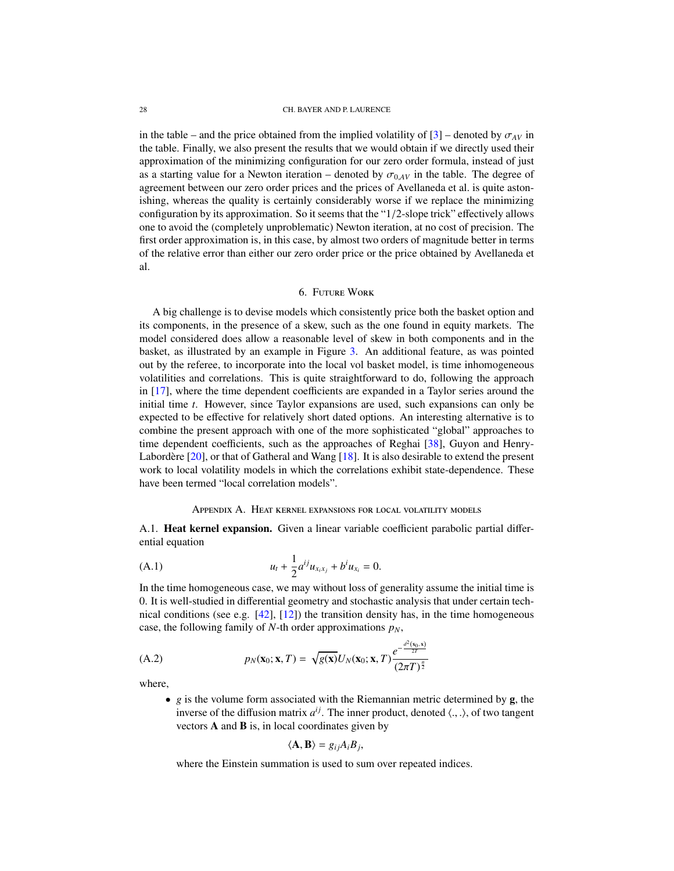in the table – and the price obtained from the implied volatility of  $[3]$  – denoted by  $\sigma_{AV}$  in the table. Finally, we also present the results that we would obtain if we directly used their approximation of the minimizing configuration for our zero order formula, instead of just as a starting value for a Newton iteration – denoted by  $\sigma_{0,4V}$  in the table. The degree of agreement between our zero order prices and the prices of Avellaneda et al. is quite astonishing, whereas the quality is certainly considerably worse if we replace the minimizing configuration by its approximation. So it seems that the "1/2-slope trick" effectively allows one to avoid the (completely unproblematic) Newton iteration, at no cost of precision. The first order approximation is, in this case, by almost two orders of magnitude better in terms of the relative error than either our zero order price or the price obtained by Avellaneda et al.

## 6. Future Work

A big challenge is to devise models which consistently price both the basket option and its components, in the presence of a skew, such as the one found in equity markets. The model considered does allow a reasonable level of skew in both components and in the basket, as illustrated by an example in Figure [3.](#page-28-0) An additional feature, as was pointed out by the referee, to incorporate into the local vol basket model, is time inhomogeneous volatilities and correlations. This is quite straightforward to do, following the approach in [\[17\]](#page-32-2), where the time dependent coefficients are expanded in a Taylor series around the initial time *t*. However, since Taylor expansions are used, such expansions can only be expected to be effective for relatively short dated options. An interesting alternative is to combine the present approach with one of the more sophisticated "global" approaches to time dependent coefficients, such as the approaches of Reghai [\[38\]](#page-33-15), Guyon and Henry-Labordère  $[20]$  $[20]$ , or that of Gatheral and Wang  $[18]$ . It is also desirable to extend the present work to local volatility models in which the correlations exhibit state-dependence. These have been termed "local correlation models".

## <span id="page-27-1"></span>Appendix A. Heat kernel expansions for local volatility models

A.1. Heat kernel expansion. Given a linear variable coefficient parabolic partial differential equation

(A.1) 
$$
u_t + \frac{1}{2} a^{ij} u_{x_i x_j} + b^i u_{x_i} = 0.
$$

In the time homogeneous case, we may without loss of generality assume the initial time is 0. It is well-studied in differential geometry and stochastic analysis that under certain technical conditions (see e.g.  $[42]$ ,  $[12]$ ) the transition density has, in the time homogeneous case, the following family of *N*-th order approximations  $p<sub>N</sub>$ ,

(A.2) 
$$
p_N(\mathbf{x}_0; \mathbf{x}, T) = \sqrt{g(\mathbf{x})} U_N(\mathbf{x}_0; \mathbf{x}, T) \frac{e^{-\frac{d^2(\mathbf{x}_0, \mathbf{x})}{2T}}}{(2\pi T)^{\frac{n}{2}}}
$$

where,

<span id="page-27-0"></span>• *g* is the volume form associated with the Riemannian metric determined by **g**, the inverse of the diffusion matrix  $a^{ij}$ . The inner product, denoted  $\langle ., . \rangle$ , of two tangent<br>vectors **A** and **R** is in local coordinates given by vectors  $A$  and  $B$  is, in local coordinates given by

$$
\langle \mathbf{A},\mathbf{B}\rangle=g_{ij}A_{i}B_{j},
$$

where the Einstein summation is used to sum over repeated indices.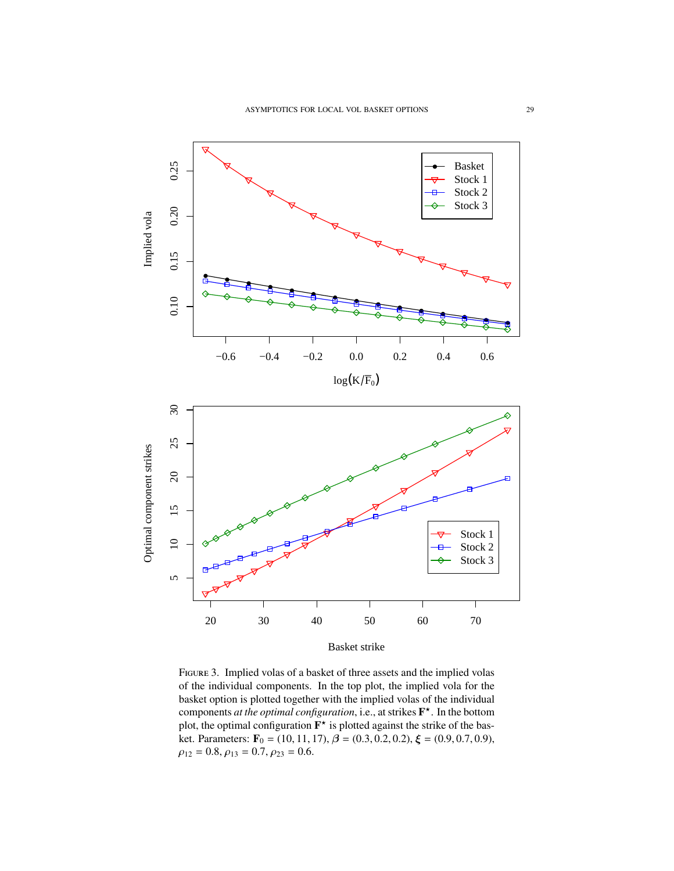<span id="page-28-0"></span>

Figure 3. Implied volas of a basket of three assets and the implied volas of the individual components. In the top plot, the implied vola for the basket option is plotted together with the implied volas of the individual components *at the optimal configuration*, i.e., at strikes F ? . In the bottom plot, the optimal configuration  $\mathbf{F}^{\star}$  is plotted against the strike of the basket. Parameters:  $\mathbf{F}_0 = (10, 11, 17), \beta = (0.3, 0.2, 0.2), \xi = (0.9, 0.7, 0.9),$  $\rho_{12} = 0.8, \rho_{13} = 0.7, \rho_{23} = 0.6.$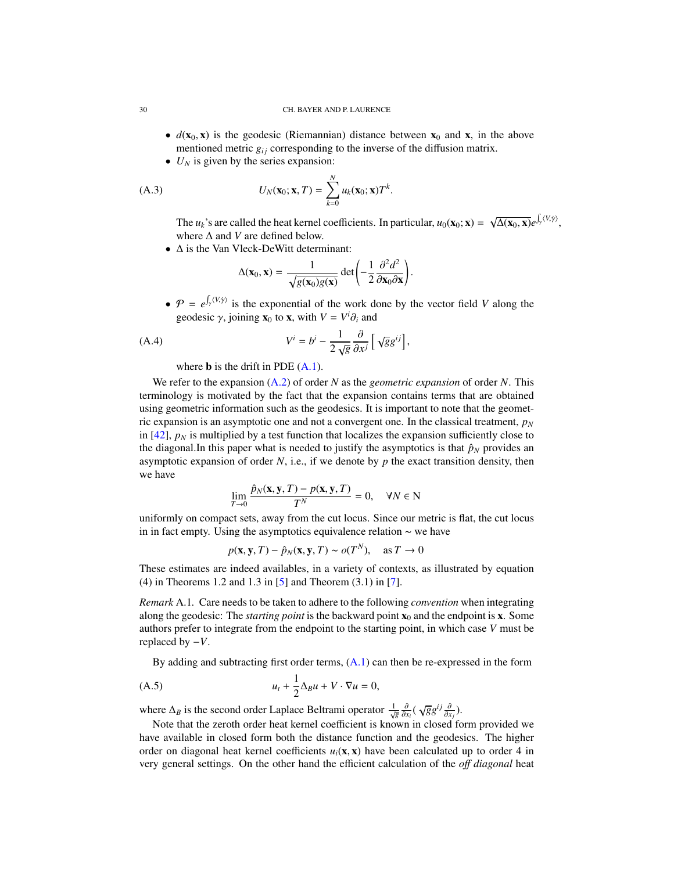- $d(\mathbf{x}_0, \mathbf{x})$  is the geodesic (Riemannian) distance between  $\mathbf{x}_0$  and  $\mathbf{x}$ , in the above mentioned metric  $g_{ij}$  corresponding to the inverse of the diffusion matrix.
- $\bullet$  *U<sub>N</sub>* is given by the series expansion:

$$
(A.3) \tU_N(\mathbf{x}_0; \mathbf{x}, T) = \sum_{k=0}^N u_k(\mathbf{x}_0; \mathbf{x}) T^k.
$$

The  $u_k$ 's are called the heat kernel coefficients. In particular,  $u_0(\mathbf{x}_0; \mathbf{x}) =$ √  $\overline{\Delta(\mathbf{x}_0,\mathbf{x})}e^{\int_{\gamma}\langle V,\dot{\gamma}\rangle},$ where ∆ and *V* are defined below.

• ∆ is the Van Vleck-DeWitt determinant:

$$
\Delta(\mathbf{x}_0, \mathbf{x}) = \frac{1}{\sqrt{g(\mathbf{x}_0)g(\mathbf{x})}} \det \left(-\frac{1}{2} \frac{\partial^2 d^2}{\partial \mathbf{x}_0 \partial \mathbf{x}}\right).
$$

•  $P = e^{\int_Y (V, \dot{\gamma})}$  is the exponential of the work done by the vector field *V* along the geodesic  $\gamma$ , joining **x**<sub>0</sub> to **x**, with  $V = V^i \partial_i$  and

(A.4) 
$$
V^i = b^i - \frac{1}{2\sqrt{g}} \frac{\partial}{\partial x^j} \left[ \sqrt{g} g^{ij} \right],
$$

where **b** is the drift in PDE  $(A.1)$ .

We refer to the expansion [\(A.2\)](#page-27-0) of order *N* as the *geometric expansion* of order *N*. This terminology is motivated by the fact that the expansion contains terms that are obtained using geometric information such as the geodesics. It is important to note that the geometric expansion is an asymptotic one and not a convergent one. In the classical treatment,  $p_N$ in  $[42]$ ,  $p_N$  is multiplied by a test function that localizes the expansion sufficiently close to the diagonal.In this paper what is needed to justify the asymptotics is that  $\hat{p}_N$  provides an asymptotic expansion of order  $N$ , i.e., if we denote by  $p$  the exact transition density, then we have

$$
\lim_{T \to 0} \frac{\hat{p}_N(\mathbf{x}, \mathbf{y}, T) - p(\mathbf{x}, \mathbf{y}, T)}{T^N} = 0, \quad \forall N \in \mathbb{N}
$$

uniformly on compact sets, away from the cut locus. Since our metric is flat, the cut locus in in fact empty. Using the asymptotics equivalence relation ∼ we have

$$
p(\mathbf{x}, \mathbf{y}, T) - \hat{p}_N(\mathbf{x}, \mathbf{y}, T) \sim o(T^N), \text{ as } T \to 0
$$

These estimates are indeed availables, in a variety of contexts, as illustrated by equation (4) in Theorems 1.2 and 1.3 in [\[5\]](#page-32-11) and Theorem (3.1) in [\[7\]](#page-32-12).

*Remark* A.1*.* Care needs to be taken to adhere to the following *convention* when integrating along the geodesic: The *starting point* is the backward point  $\mathbf{x}_0$  and the endpoint is **x**. Some authors prefer to integrate from the endpoint to the starting point, in which case *V* must be replaced by −*V*.

By adding and subtracting first order terms,  $(A.1)$  can then be re-expressed in the form

$$
(A.5) \t u_t + \frac{1}{2}\Delta_B u + V \cdot \nabla u = 0,
$$

where  $\Delta_B$  is the second order Laplace Beltrami operator  $\frac{1}{\sqrt{g}} \frac{\partial}{\partial x_i} (\sqrt{g} g^{ij} \frac{\partial}{\partial x_j}).$ <br>Note that the zeroth order heat kernal coefficient is known in closed for

Note that the zeroth order heat kernel coefficient is known in closed form provided we have available in closed form both the distance function and the geodesics. The higher order on diagonal heat kernel coefficients  $u_i(x, x)$  have been calculated up to order 4 in very general settings. On the other hand the efficient calculation of the *o*ff *diagonal* heat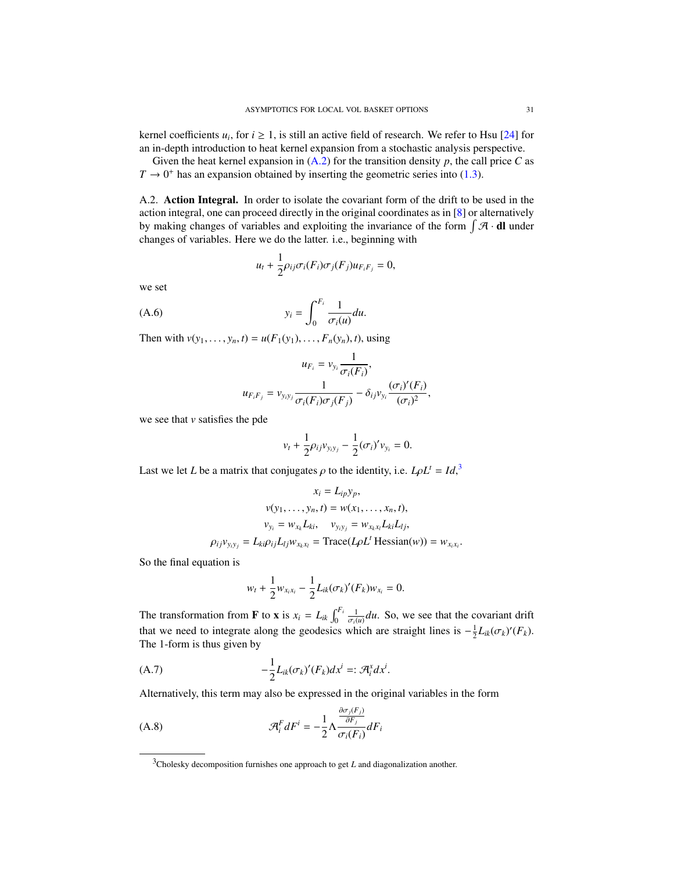kernel coefficients  $u_i$ , for  $i \geq 1$ , is still an active field of research. We refer to Hsu [\[24\]](#page-32-24) for an in-depth introduction to heat kernel expansion from a stochastic analysis perspective.

Given the heat kernel expansion in  $(A.2)$  for the transition density p, the call price C as  $T \rightarrow 0^+$  has an expansion obtained by inserting the geometric series into [\(1.3\)](#page-6-1).

<span id="page-30-0"></span>A.2. Action Integral. In order to isolate the covariant form of the drift to be used in the action integral, one can proceed directly in the original coordinates as in [\[8\]](#page-32-25) or alternatively by making changes of variables and exploiting the invariance of the form  $\int \mathcal{A} \cdot d\mathbf{l}$  under changes of variables. Here we do the latter. i.e., beginning with

$$
u_t + \frac{1}{2} \rho_{ij} \sigma_i(F_i) \sigma_j(F_j) u_{F_i F_j} = 0,
$$

we set

$$
y_i = \int_0^{F_i} \frac{1}{\sigma_i(u)} du.
$$

Then with  $v(y_1, ..., y_n, t) = u(F_1(y_1), ..., F_n(y_n), t)$ , using

$$
u_{F_i} = v_{y_i} \frac{1}{\sigma_i(F_i)},
$$
  

$$
u_{F_i F_j} = v_{y_i y_j} \frac{1}{\sigma_i(F_i)\sigma_j(F_j)} - \delta_{ij}v_{y_i} \frac{(\sigma_i)'(F_i)}{(\sigma_i)^2},
$$

we see that *v* satisfies the pde

$$
v_t + \frac{1}{2}\rho_{ij}v_{y_iy_j} - \frac{1}{2}(\sigma_i)'v_{y_i} = 0.
$$

Last we let *L* be a matrix that conjugates  $\rho$  to the identity, i.e.  $L\rho L^t = Id^3$  $L\rho L^t = Id^3$ ,

$$
x_i = L_{ip}y_p,
$$
  
\n
$$
v(y_1, \dots, y_n, t) = w(x_1, \dots, x_n, t),
$$
  
\n
$$
v_{y_i} = w_{x_k}L_{ki}, \quad v_{y_i y_j} = w_{x_k x_i}L_{ki}L_{lj},
$$
  
\n
$$
\rho_{ij}v_{y_i y_j} = L_{ki}\rho_{ij}L_{lj}w_{x_k x_l} = \text{Trace}(L\rho L^t \text{Hessian}(w)) = w_{x_i x_i}
$$

So the final equation is

$$
w_t + \frac{1}{2} w_{x_i x_i} - \frac{1}{2} L_{ik} (\sigma_k)'(F_k) w_{x_i} = 0.
$$

The transformation from **F** to **x** is  $x_i = L_{ik} \int_0^{F_i} \frac{1}{\sigma_i(u)} du$ . So, we see that the covariant drift that we need to integrate along the geodesics which are straight lines is  $-\frac{1}{2}L_{ik}(\sigma_k)'(F_k)$ .<br>The 1-form is thus given by The 1-form is thus given by

$$
(A.7) \qquad \qquad -\frac{1}{2}L_{ik}(\sigma_k)'(F_k)dx^i =: \mathcal{A}_i^x dx^i.
$$

Alternatively, this term may also be expressed in the original variables in the form

(A.8) 
$$
\mathcal{A}_{i}^{F} dF^{i} = -\frac{1}{2} \Lambda \frac{\frac{\partial \sigma_{j}(F_{j})}{\partial F_{j}}}{\sigma_{i}(F_{i})} dF_{i}
$$

<span id="page-30-2"></span><span id="page-30-1"></span><sup>&</sup>lt;sup>3</sup>Cholesky decomposition furnishes one approach to get *L* and diagonalization another.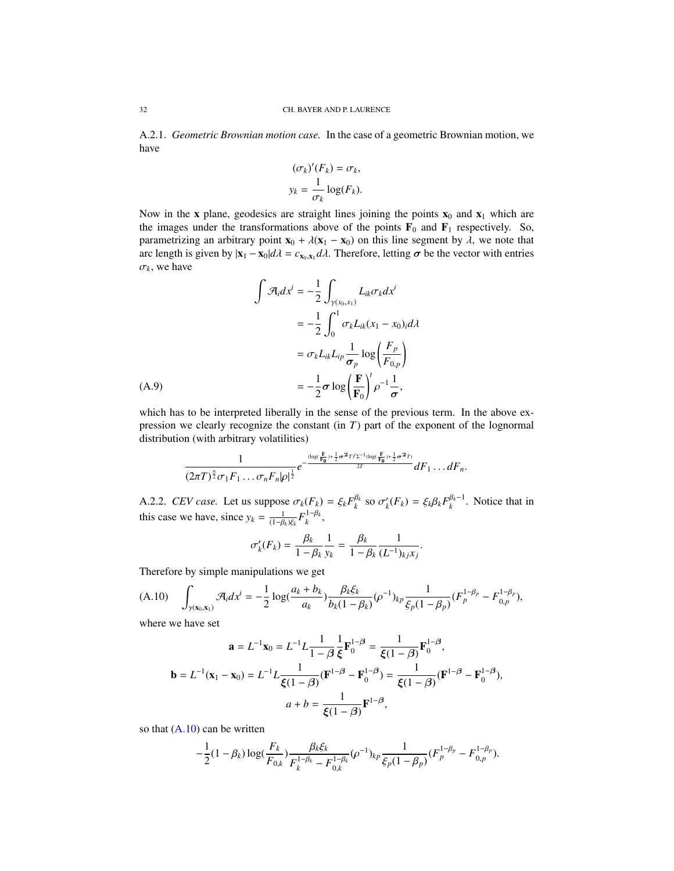A.2.1. *Geometric Brownian motion case.* In the case of a geometric Brownian motion, we have

$$
(\sigma_k)'(F_k) = \sigma_k,
$$
  

$$
y_k = \frac{1}{\sigma_k} \log(F_k).
$$

Now in the x plane, geodesics are straight lines joining the points  $x_0$  and  $x_1$  which are the images under the transformations above of the points  $\mathbf{F}_0$  and  $\mathbf{F}_1$  respectively. So, parametrizing an arbitrary point  $\mathbf{x}_0 + \lambda(\mathbf{x}_1 - \mathbf{x}_0)$  on this line segment by  $\lambda$ , we note that arc length is given by  $|\mathbf{x}_1 - \mathbf{x}_0| d\lambda = c_{\mathbf{x}_0, \mathbf{x}_1} d\lambda$ . Therefore, letting  $\sigma$  be the vector with entries  $\sigma_k$ , we have

$$
\int \mathcal{A}_i dx^i = -\frac{1}{2} \int_{\gamma(x_0, x_1)} L_{ik} \sigma_k dx^i
$$

$$
= -\frac{1}{2} \int_0^1 \sigma_k L_{ik}(x_1 - x_0)_i d\lambda
$$

$$
= \sigma_k L_{ik} L_{ip} \frac{1}{\sigma_p} \log \left( \frac{F_p}{F_{0,p}} \right)
$$

$$
= -\frac{1}{2} \sigma \log \left( \frac{F}{F_0} \right)^t \rho^{-1} \frac{1}{\sigma},
$$

<span id="page-31-1"></span>which has to be interpreted liberally in the sense of the previous term. In the above expression we clearly recognize the constant (in *T*) part of the exponent of the lognormal distribution (with arbitrary volatilities)

$$
\frac{1}{(2\pi T)^{\frac{n}{2}}\sigma_1F_1\ldots\sigma_nF_n|\rho|^{\frac{1}{2}}}e^{-\frac{(\log(\frac{F}{F_0})+\frac{1}{2}\sigma^2T)^f\Sigma^{-1}(\log(\frac{F}{F_0})+\frac{1}{2}\sigma^2T)}{2T}}dF_1\ldots dF_n.
$$

A.2.2. *CEV case.* Let us suppose  $\sigma_k(F_k) = \xi_k F_k^{\beta_k}$  so  $\sigma'_k(F_k) = \xi_k \beta_k F_k^{\beta_k-1}$ . Notice that in this aggregate the straight this case we have, since  $y_k = \frac{1}{(1-\beta_k)\xi_k} F_k^{1-\beta_k}$ ,

$$
\sigma'_{k}(F_{k}) = \frac{\beta_{k}}{1 - \beta_{k}} \frac{1}{y_{k}} = \frac{\beta_{k}}{1 - \beta_{k}} \frac{1}{(L^{-1})_{kj} x_{j}}
$$

Therefore by simple manipulations we get

<span id="page-31-0"></span>
$$
(A.10) \quad \int_{\gamma(\mathbf{x}_0,\mathbf{x}_1)} \mathcal{A}_i dx^i = -\frac{1}{2} \log(\frac{a_k + b_k}{a_k}) \frac{\beta_k \xi_k}{b_k (1 - \beta_k)} (\rho^{-1})_{kp} \frac{1}{\xi_p (1 - \beta_p)} (F_p^{1 - \beta_p} - F_{0,p}^{1 - \beta_p}),
$$

where we have set

$$
\mathbf{a} = L^{-1}\mathbf{x}_0 = L^{-1}L\frac{1}{1-\beta}\frac{1}{\xi}\mathbf{F}_0^{1-\beta} = \frac{1}{\xi(1-\beta)}\mathbf{F}_0^{1-\beta},
$$

$$
\mathbf{b} = L^{-1}(\mathbf{x}_1 - \mathbf{x}_0) = L^{-1}L\frac{1}{\xi(1-\beta)}(\mathbf{F}^{1-\beta} - \mathbf{F}_0^{1-\beta}) = \frac{1}{\xi(1-\beta)}(\mathbf{F}^{1-\beta} - \mathbf{F}_0^{1-\beta}),
$$

$$
a + b = \frac{1}{\xi(1-\beta)}\mathbf{F}^{1-\beta},
$$

so that  $(A.10)$  can be written

$$
-\frac{1}{2}(1-\beta_k)\log(\frac{F_k}{F_{0,k}})\frac{\beta_k\xi_k}{F_k^{1-\beta_k}-F_{0,k}^{1-\beta_k}}(\rho^{-1})_{kp}\frac{1}{\xi_p(1-\beta_p)}(F_p^{1-\beta_p}-F_{0,p}^{1-\beta_p}).
$$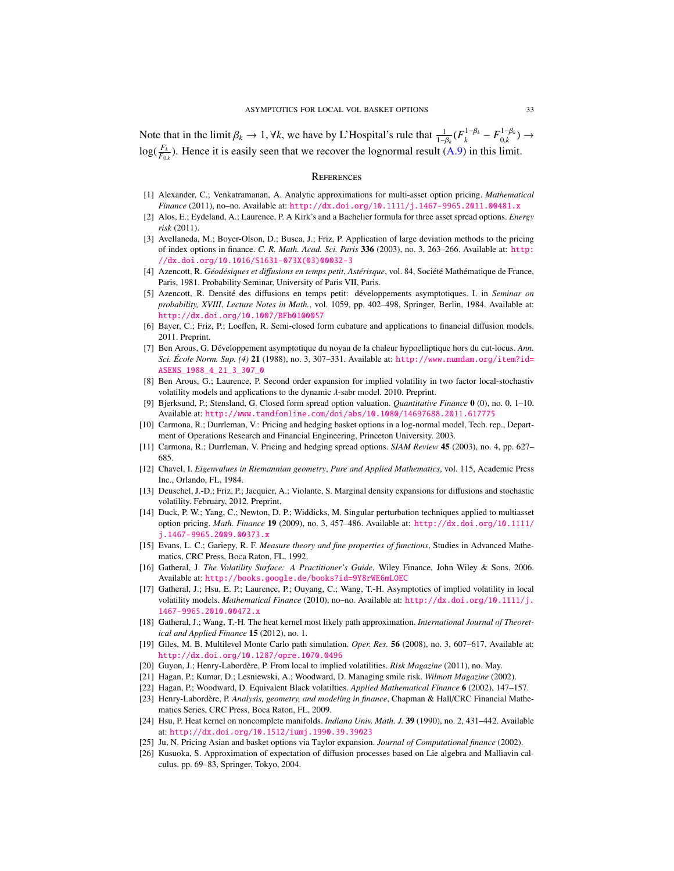Note that in the limit  $\beta_k \to 1$ ,  $\forall k$ , we have by L'Hospital's rule that  $\frac{1}{1-\beta_k}(F_k^{1-\beta_k} - F_{0,k}^{1-\beta_k})$  $\bigcup_{0,k}^{1-\beta_k}$  →  $log(\frac{F_k}{F_{0,k}})$ . Hence it is easily seen that we recover the lognormal result [\(A.9\)](#page-31-1) in this limit.

### **REFERENCES**

- <span id="page-32-9"></span>[1] Alexander, C.; Venkatramanan, A. Analytic approximations for multi-asset option pricing. *Mathematical Finance* (2011), no–no. Available at: <http://dx.doi.org/10.1111/j.1467-9965.2011.00481.x>
- <span id="page-32-3"></span>[2] Alos, E.; Eydeland, A.; Laurence, P. A Kirk's and a Bachelier formula for three asset spread options. *Energy risk* (2011).
- <span id="page-32-0"></span>[3] Avellaneda, M.; Boyer-Olson, D.; Busca, J.; Friz, P. Application of large deviation methods to the pricing of index options in finance. *C. R. Math. Acad. Sci. Paris* 336 (2003), no. 3, 263–266. Available at: [http:](http://dx.doi.org/10.1016/S1631-073X(03)00032-3) [//dx.doi.org/10.1016/S1631-073X\(03\)00032-3](http://dx.doi.org/10.1016/S1631-073X(03)00032-3)
- <span id="page-32-16"></span>[4] Azencott, R. *Géodésiques et diffusions en temps petit, Astérisque*, vol. 84, Société Mathématique de France, Paris, 1981. Probability Seminar, University of Paris VII, Paris.
- <span id="page-32-11"></span>[5] Azencott, R. Densite des di ´ ffusions en temps petit: developpements asymptotiques. I. in ´ *Seminar on probability, XVIII*, *Lecture Notes in Math.*, vol. 1059, pp. 402–498, Springer, Berlin, 1984. Available at: <http://dx.doi.org/10.1007/BFb0100057>
- <span id="page-32-19"></span>[6] Bayer, C.; Friz, P.; Loeffen, R. Semi-closed form cubature and applications to financial diffusion models. 2011. Preprint.
- <span id="page-32-12"></span>[7] Ben Arous, G. Développement asymptotique du noyau de la chaleur hypoelliptique hors du cut-locus. Ann. *Sci. Ecole Norm. Sup. (4) ´* 21 (1988), no. 3, 307–331. Available at: [http://www.numdam.org/item?id=](http://www.numdam.org/item?id=ASENS_1988_4_21_3_307_0) [ASENS\\_1988\\_4\\_21\\_3\\_307\\_0](http://www.numdam.org/item?id=ASENS_1988_4_21_3_307_0)
- <span id="page-32-25"></span>[8] Ben Arous, G.; Laurence, P. Second order expansion for implied volatility in two factor local-stochastiv volatility models and applications to the dynamic  $\lambda$ -sabr model. 2010. Preprint.
- <span id="page-32-8"></span>[9] Bjerksund, P.; Stensland, G. Closed form spread option valuation. *Quantitative Finance* 0 (0), no. 0, 1–10. Available at: <http://www.tandfonline.com/doi/abs/10.1080/14697688.2011.617775>
- <span id="page-32-7"></span>[10] Carmona, R.; Durrleman, V.: Pricing and hedging basket options in a log-normal model, Tech. rep., Department of Operations Research and Financial Engineering, Princeton University. 2003.
- <span id="page-32-6"></span>[11] Carmona, R.; Durrleman, V. Pricing and hedging spread options. *SIAM Review* 45 (2003), no. 4, pp. 627– 685.
- <span id="page-32-23"></span>[12] Chavel, I. *Eigenvalues in Riemannian geometry*, *Pure and Applied Mathematics*, vol. 115, Academic Press Inc., Orlando, FL, 1984.
- <span id="page-32-17"></span>[13] Deuschel, J.-D.; Friz, P.; Jacquier, A.; Violante, S. Marginal density expansions for diffusions and stochastic volatility. February, 2012. Preprint.
- <span id="page-32-5"></span>[14] Duck, P. W.; Yang, C.; Newton, D. P.; Widdicks, M. Singular perturbation techniques applied to multiasset option pricing. *Math. Finance* 19 (2009), no. 3, 457–486. Available at: [http://dx.doi.org/10.1111/](http://dx.doi.org/10.1111/j.1467-9965.2009.00373.x) [j.1467-9965.2009.00373.x](http://dx.doi.org/10.1111/j.1467-9965.2009.00373.x)
- <span id="page-32-15"></span>[15] Evans, L. C.; Gariepy, R. F. *Measure theory and fine properties of functions*, Studies in Advanced Mathematics, CRC Press, Boca Raton, FL, 1992.
- <span id="page-32-20"></span>[16] Gatheral, J. *The Volatility Surface: A Practitioner's Guide*, Wiley Finance, John Wiley & Sons, 2006. Available at: <http://books.google.de/books?id=9Y8rWE6mLOEC>
- <span id="page-32-2"></span>[17] Gatheral, J.; Hsu, E. P.; Laurence, P.; Ouyang, C.; Wang, T.-H. Asymptotics of implied volatility in local volatility models. *Mathematical Finance* (2010), no–no. Available at: [http://dx.doi.org/10.1111/j.](http://dx.doi.org/10.1111/j.1467-9965.2010.00472.x) [1467-9965.2010.00472.x](http://dx.doi.org/10.1111/j.1467-9965.2010.00472.x)
- <span id="page-32-22"></span>[18] Gatheral, J.; Wang, T.-H. The heat kernel most likely path approximation. *International Journal of Theoretical and Applied Finance* 15 (2012), no. 1.
- <span id="page-32-14"></span>[19] Giles, M. B. Multilevel Monte Carlo path simulation. *Oper. Res.* 56 (2008), no. 3, 607–617. Available at: <http://dx.doi.org/10.1287/opre.1070.0496>
- <span id="page-32-21"></span>[20] Guyon, J.; Henry-Labordère, P. From local to implied volatilities. Risk Magazine (2011), no. May.
- <span id="page-32-13"></span>[21] Hagan, P.; Kumar, D.; Lesniewski, A.; Woodward, D. Managing smile risk. *Wilmott Magazine* (2002).
- <span id="page-32-1"></span>[22] Hagan, P.; Woodward, D. Equivalent Black volatilties. *Applied Mathematical Finance* 6 (2002), 147–157.
- <span id="page-32-10"></span>[23] Henry-Labordère, P. Analysis, geometry, and modeling in finance, Chapman & Hall/CRC Financial Mathematics Series, CRC Press, Boca Raton, FL, 2009.
- <span id="page-32-24"></span>[24] Hsu, P. Heat kernel on noncomplete manifolds. *Indiana Univ. Math. J.* 39 (1990), no. 2, 431–442. Available at: <http://dx.doi.org/10.1512/iumj.1990.39.39023>
- <span id="page-32-4"></span>[25] Ju, N. Pricing Asian and basket options via Taylor expansion. *Journal of Computational finance* (2002).
- <span id="page-32-18"></span>[26] Kusuoka, S. Approximation of expectation of diffusion processes based on Lie algebra and Malliavin calculus. pp. 69–83, Springer, Tokyo, 2004.